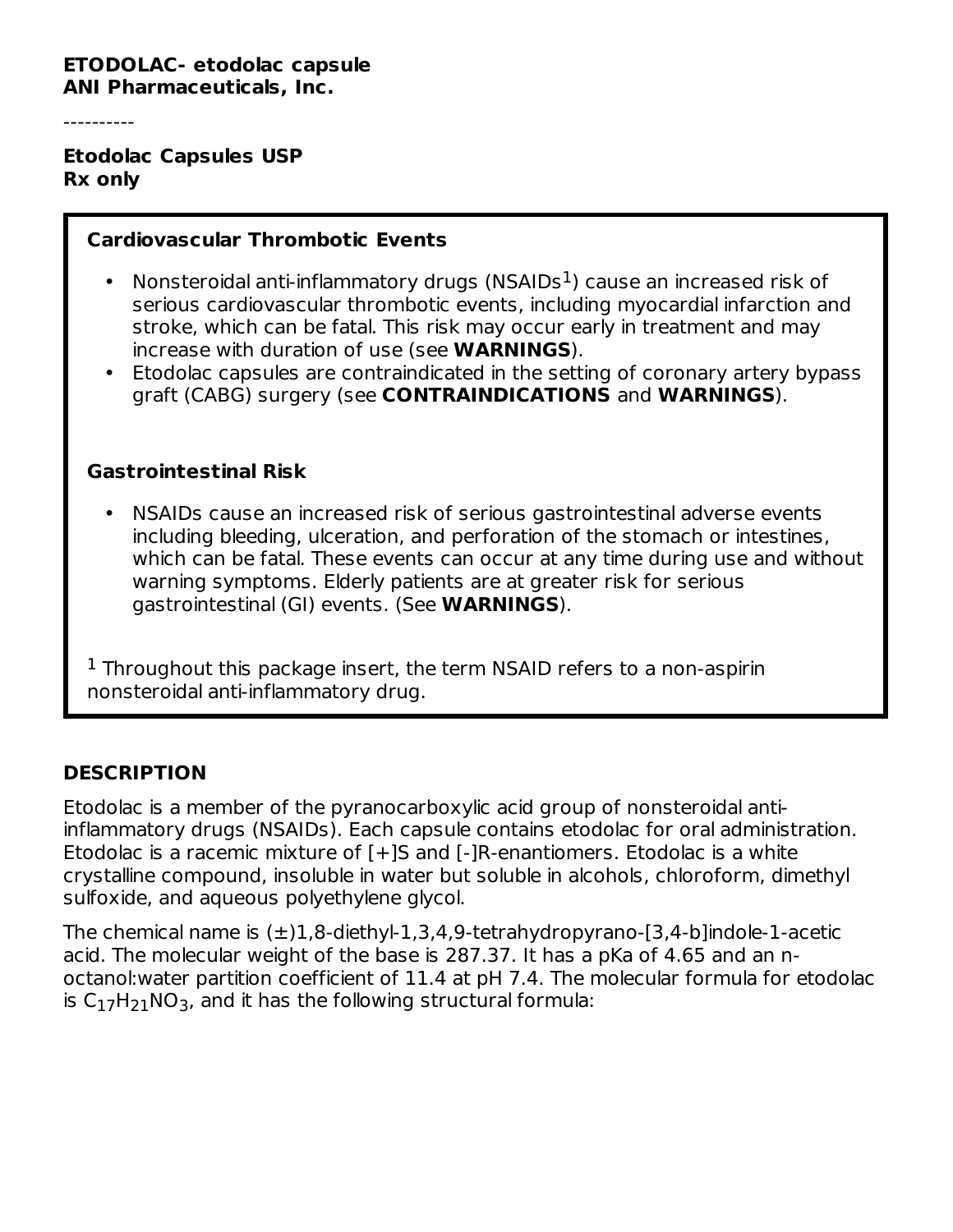#### **ETODOLAC- etodolac capsule ANI Pharmaceuticals, Inc.**

----------

**Etodolac Capsules USP Rx only**

#### **Cardiovascular Thrombotic Events**

- Nonsteroidal anti-inflammatory drugs (NSAIDs $<sup>1</sup>$ ) cause an increased risk of</sup> serious cardiovascular thrombotic events, including myocardial infarction and stroke, which can be fatal. This risk may occur early in treatment and may increase with duration of use (see **WARNINGS**).
- Etodolac capsules are contraindicated in the setting of coronary artery bypass graft (CABG) surgery (see **CONTRAINDICATIONS** and **WARNINGS**).

#### **Gastrointestinal Risk**

• NSAIDs cause an increased risk of serious gastrointestinal adverse events including bleeding, ulceration, and perforation of the stomach or intestines, which can be fatal. These events can occur at any time during use and without warning symptoms. Elderly patients are at greater risk for serious gastrointestinal (GI) events. (See **WARNINGS**).

 $1$  Throughout this package insert, the term NSAID refers to a non-aspirin nonsteroidal anti-inflammatory drug.

### **DESCRIPTION**

Etodolac is a member of the pyranocarboxylic acid group of nonsteroidal antiinflammatory drugs (NSAIDs). Each capsule contains etodolac for oral administration. Etodolac is a racemic mixture of [+]S and [-]R-enantiomers. Etodolac is a white crystalline compound, insoluble in water but soluble in alcohols, chloroform, dimethyl sulfoxide, and aqueous polyethylene glycol.

The chemical name is  $(\pm)1.8$ -diethyl-1.3.4.9-tetrahydropyrano-[3.4-b]indole-1-acetic acid. The molecular weight of the base is 287.37. It has a pKa of 4.65 and an noctanol:water partition coefficient of 11.4 at pH 7.4. The molecular formula for etodolac is  $C_{17}H_{21}NO_3$ , and it has the following structural formula: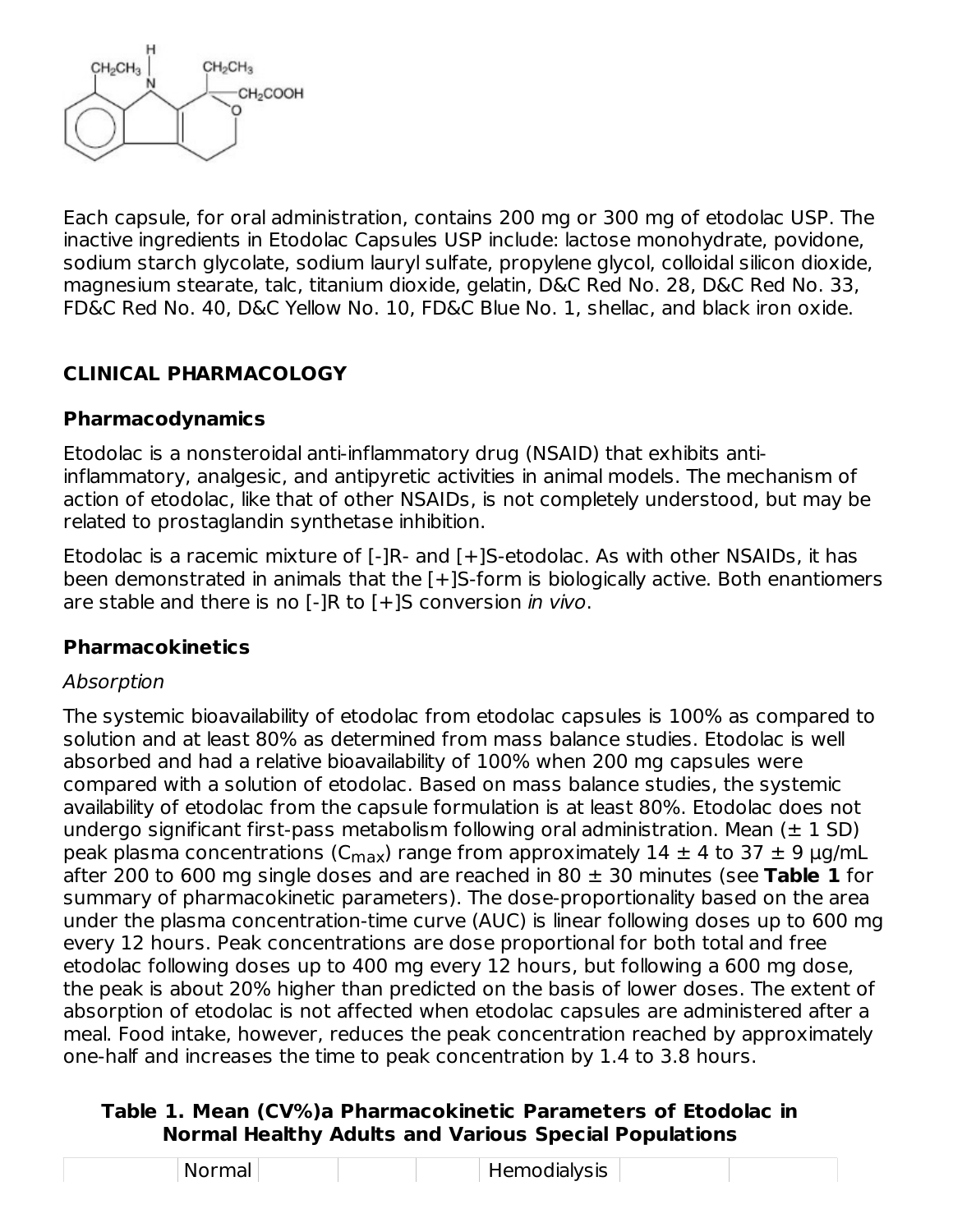

Each capsule, for oral administration, contains 200 mg or 300 mg of etodolac USP. The inactive ingredients in Etodolac Capsules USP include: lactose monohydrate, povidone, sodium starch glycolate, sodium lauryl sulfate, propylene glycol, colloidal silicon dioxide, magnesium stearate, talc, titanium dioxide, gelatin, D&C Red No. 28, D&C Red No. 33, FD&C Red No. 40, D&C Yellow No. 10, FD&C Blue No. 1, shellac, and black iron oxide.

## **CLINICAL PHARMACOLOGY**

#### **Pharmacodynamics**

Etodolac is a nonsteroidal anti-inflammatory drug (NSAID) that exhibits antiinflammatory, analgesic, and antipyretic activities in animal models. The mechanism of action of etodolac, like that of other NSAIDs, is not completely understood, but may be related to prostaglandin synthetase inhibition.

Etodolac is a racemic mixture of [-]R- and [+]S-etodolac. As with other NSAIDs, it has been demonstrated in animals that the [+]S-form is biologically active. Both enantiomers are stable and there is no [-]R to [+]S conversion *in vivo*.

### **Pharmacokinetics**

#### Absorption

The systemic bioavailability of etodolac from etodolac capsules is 100% as compared to solution and at least 80% as determined from mass balance studies. Etodolac is well absorbed and had a relative bioavailability of 100% when 200 mg capsules were compared with a solution of etodolac. Based on mass balance studies, the systemic availability of etodolac from the capsule formulation is at least 80%. Etodolac does not undergo significant first-pass metabolism following oral administration. Mean  $(\pm 1 \text{ SD})$ peak plasma concentrations (C<sub>max</sub>) range from approximately 14  $\pm$  4 to 37  $\pm$  9  $\mu$ g/mL after 200 to 600 mg single doses and are reached in 80 ± 30 minutes (see **Table 1** for summary of pharmacokinetic parameters). The dose-proportionality based on the area under the plasma concentration-time curve (AUC) is linear following doses up to 600 mg every 12 hours. Peak concentrations are dose proportional for both total and free etodolac following doses up to 400 mg every 12 hours, but following a 600 mg dose, the peak is about 20% higher than predicted on the basis of lower doses. The extent of absorption of etodolac is not affected when etodolac capsules are administered after a meal. Food intake, however, reduces the peak concentration reached by approximately one-half and increases the time to peak concentration by 1.4 to 3.8 hours.

#### **Table 1. Mean (CV%)a Pharmacokinetic Parameters of Etodolac in Normal Healthy Adults and Various Special Populations**

| Normal | Hemodialysis |  |
|--------|--------------|--|
|--------|--------------|--|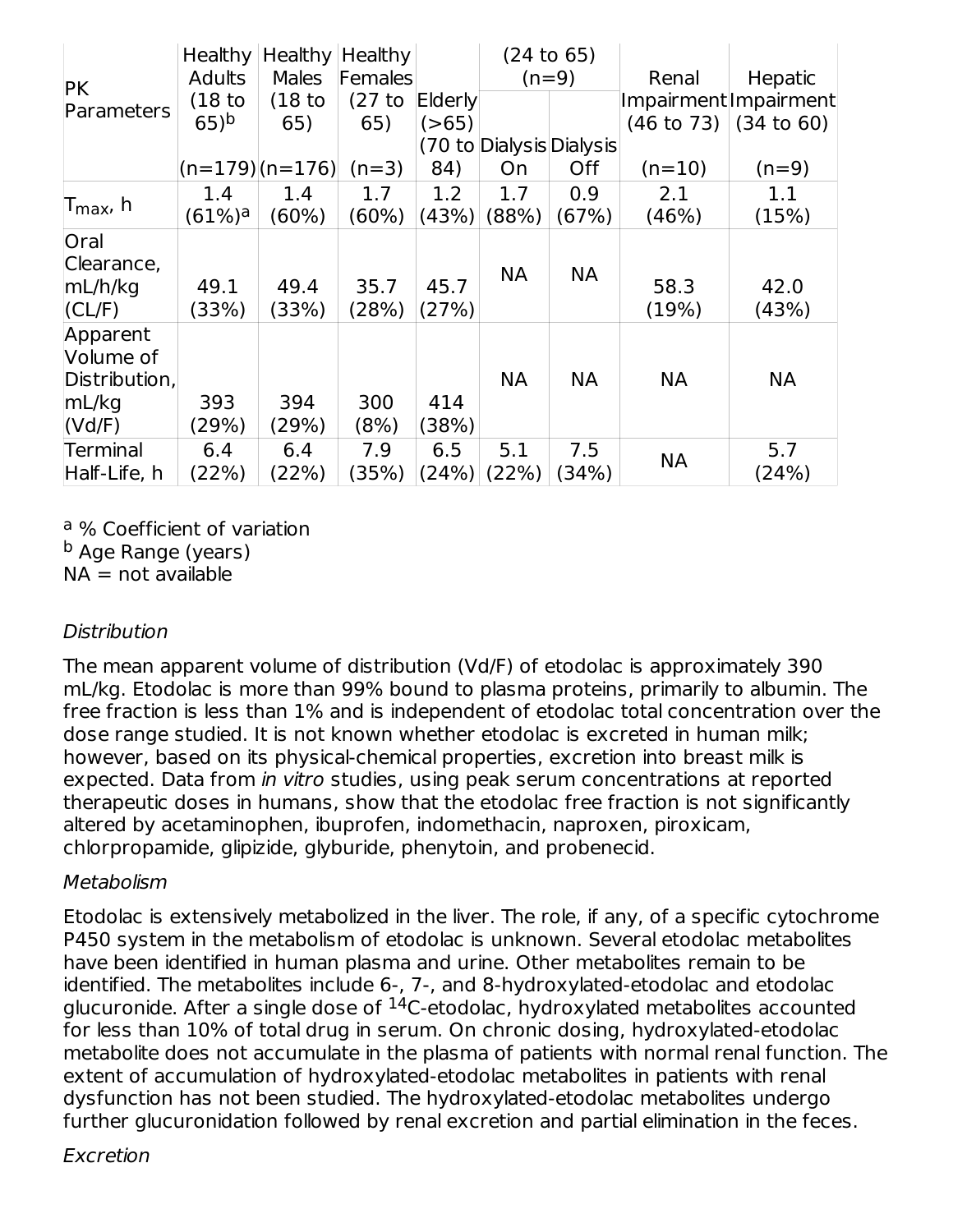| <b>PK</b>                              | Adults             | Healthy   Healthy   Healthy  <br><b>Males</b> | Females  |         | (24 to 65)<br>$(n=9)$    |            | Renal     | Hepatic                          |
|----------------------------------------|--------------------|-----------------------------------------------|----------|---------|--------------------------|------------|-----------|----------------------------------|
| Parameters                             | (18 <sub>to</sub>  | (18 <sub>to</sub>                             | $(27$ to | Elderly |                          |            |           | Impairment Impairment            |
|                                        | $65)$ <sup>b</sup> | 65)                                           | 65)      | ( > 65) |                          |            |           | $(46 \text{ to } 73)$ (34 to 60) |
|                                        |                    |                                               |          |         | (70 to Dialysis Dialysis |            |           |                                  |
|                                        |                    | $(n=179)$ $(n=176)$                           | $(n=3)$  | 84)     | On                       | <b>Off</b> | $(n=10)$  | $(n=9)$                          |
|                                        | 1.4                | 1.4                                           | 1.7      | 1.2     | 1.7                      | 0.9        | 2.1       | 1.1                              |
| lT <sub>max</sub> , h                  | (61%) <sup>a</sup> | $(60\%)$                                      | $(60\%)$ | (43%)   | (88%)                    | (67%)      | (46%)     | (15%)                            |
| <b>Oral</b>                            |                    |                                               |          |         |                          |            |           |                                  |
| Clearance,<br>mL/h/kg                  | 49.1               | 49.4                                          | 35.7     | 45.7    | <b>NA</b>                | <b>NA</b>  | 58.3      | 42.0                             |
| $ CL/F\rangle$                         | (33%)              | (33%)                                         | (28%)    | (27%)   |                          |            | (19%)     | (43%)                            |
| Apparent<br>Volume of<br>Distribution, |                    |                                               |          |         | <b>NA</b>                | <b>NA</b>  | NА        | <b>NA</b>                        |
| mL/kg                                  | 393                | 394                                           | 300      | 414     |                          |            |           |                                  |
| (Vd/F)                                 | (29%)              | (29%)                                         | (8%)     | (38%)   |                          |            |           |                                  |
| Terminal                               | 6.4                | 6.4                                           | 7.9      | 6.5     | 5.1                      | 7.5        | <b>NA</b> | 5.7                              |
| Half-Life, h                           | (22%)              | (22%)                                         | (35%)    | (24%)   | (22%)                    | (34%)      |           | (24%)                            |

<sup>a</sup> % Coefficient of variation

<sup>b</sup> Age Range (years)

 $NA = not available$ 

#### **Distribution**

The mean apparent volume of distribution (Vd/F) of etodolac is approximately 390 mL/kg. Etodolac is more than 99% bound to plasma proteins, primarily to albumin. The free fraction is less than 1% and is independent of etodolac total concentration over the dose range studied. It is not known whether etodolac is excreted in human milk; however, based on its physical-chemical properties, excretion into breast milk is expected. Data from in vitro studies, using peak serum concentrations at reported therapeutic doses in humans, show that the etodolac free fraction is not significantly altered by acetaminophen, ibuprofen, indomethacin, naproxen, piroxicam, chlorpropamide, glipizide, glyburide, phenytoin, and probenecid.

#### Metabolism

Etodolac is extensively metabolized in the liver. The role, if any, of a specific cytochrome P450 system in the metabolism of etodolac is unknown. Several etodolac metabolites have been identified in human plasma and urine. Other metabolites remain to be identified. The metabolites include 6-, 7-, and 8-hydroxylated-etodolac and etodolac glucuronide. After a single dose of  $^{14}$ C-etodolac, hydroxylated metabolites accounted for less than 10% of total drug in serum. On chronic dosing, hydroxylated-etodolac metabolite does not accumulate in the plasma of patients with normal renal function. The extent of accumulation of hydroxylated-etodolac metabolites in patients with renal dysfunction has not been studied. The hydroxylated-etodolac metabolites undergo further glucuronidation followed by renal excretion and partial elimination in the feces.

#### Excretion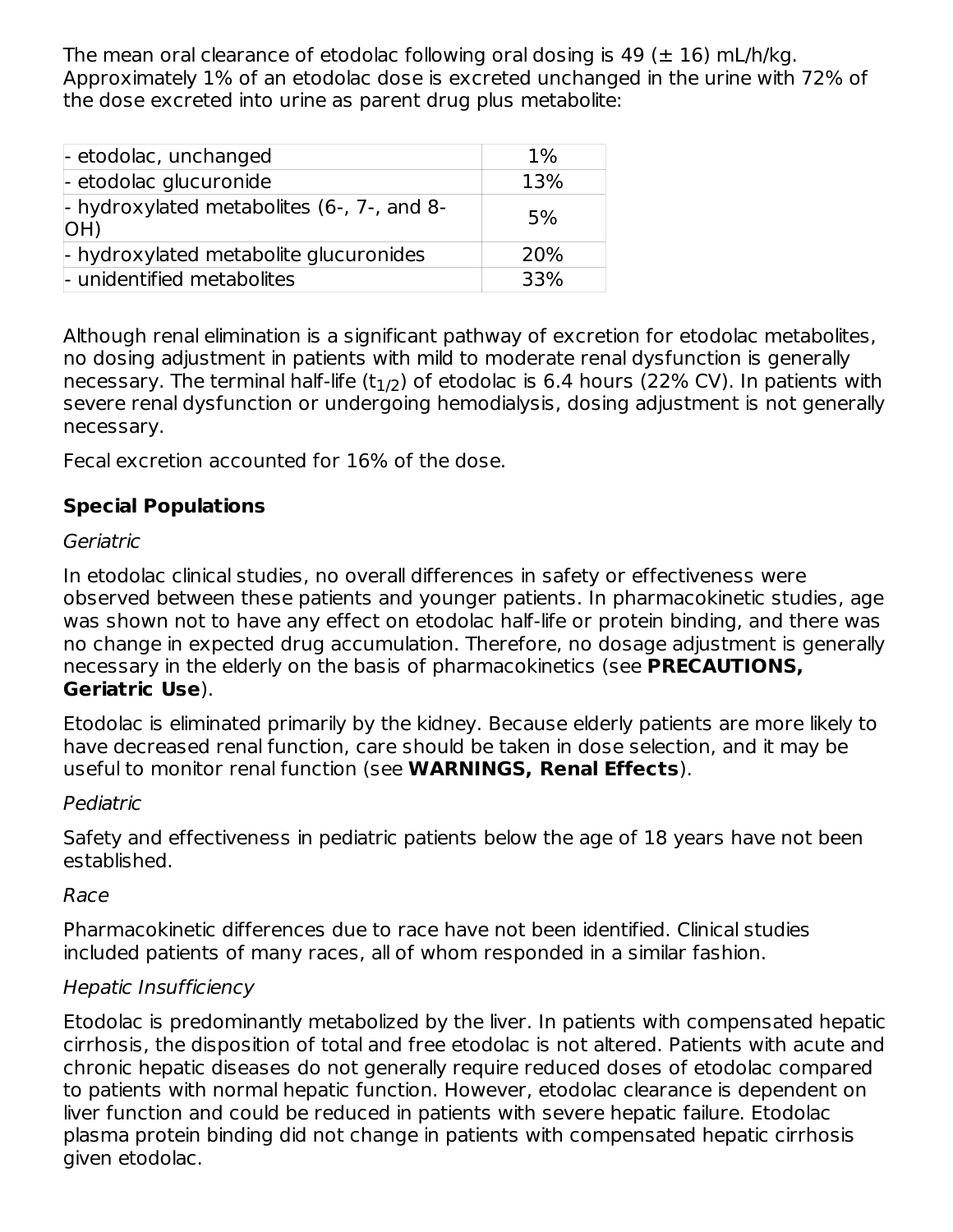The mean oral clearance of etodolac following oral dosing is 49 ( $\pm$  16) mL/h/kg. Approximately 1% of an etodolac dose is excreted unchanged in the urine with 72% of the dose excreted into urine as parent drug plus metabolite:

| - etodolac, unchanged                               | $1\%$ |
|-----------------------------------------------------|-------|
| - etodolac glucuronide                              | 13%   |
| $-$ hydroxylated metabolites (6-, 7-, and 8-<br>(HO | 5%    |
| - hydroxylated metabolite glucuronides              | 20%   |
| - unidentified metabolites                          | 33%   |

Although renal elimination is a significant pathway of excretion for etodolac metabolites, no dosing adjustment in patients with mild to moderate renal dysfunction is generally necessary. The terminal half-life (t $_{\rm 1/2}$ ) of etodolac is 6.4 hours (22% CV). In patients with severe renal dysfunction or undergoing hemodialysis, dosing adjustment is not generally necessary.

Fecal excretion accounted for 16% of the dose.

# **Special Populations**

### Geriatric

In etodolac clinical studies, no overall differences in safety or effectiveness were observed between these patients and younger patients. In pharmacokinetic studies, age was shown not to have any effect on etodolac half-life or protein binding, and there was no change in expected drug accumulation. Therefore, no dosage adjustment is generally necessary in the elderly on the basis of pharmacokinetics (see **PRECAUTIONS, Geriatric Use**).

Etodolac is eliminated primarily by the kidney. Because elderly patients are more likely to have decreased renal function, care should be taken in dose selection, and it may be useful to monitor renal function (see **WARNINGS, Renal Effects**).

### Pediatric

Safety and effectiveness in pediatric patients below the age of 18 years have not been established.

### Race

Pharmacokinetic differences due to race have not been identified. Clinical studies included patients of many races, all of whom responded in a similar fashion.

# Hepatic Insufficiency

Etodolac is predominantly metabolized by the liver. In patients with compensated hepatic cirrhosis, the disposition of total and free etodolac is not altered. Patients with acute and chronic hepatic diseases do not generally require reduced doses of etodolac compared to patients with normal hepatic function. However, etodolac clearance is dependent on liver function and could be reduced in patients with severe hepatic failure. Etodolac plasma protein binding did not change in patients with compensated hepatic cirrhosis given etodolac.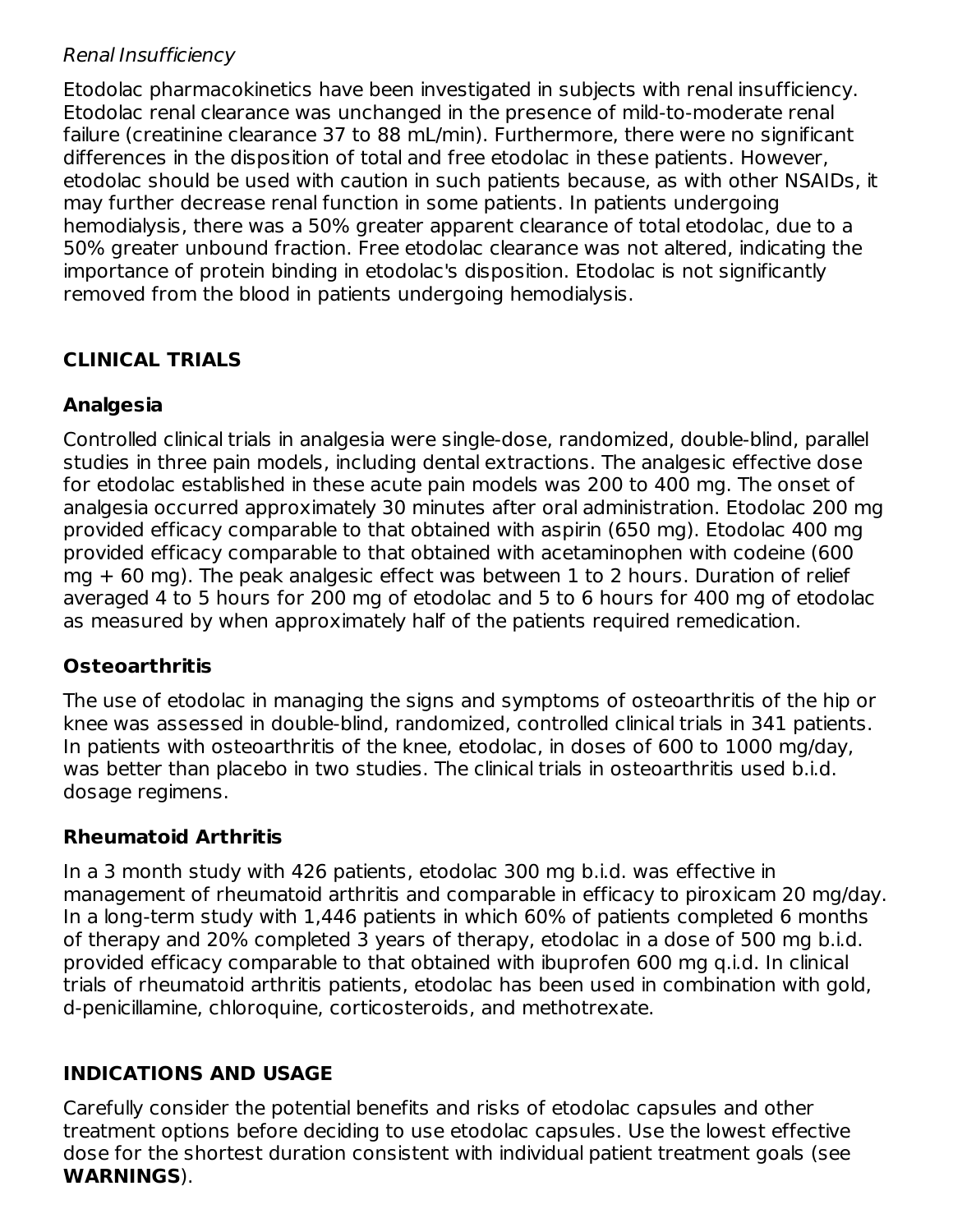#### Renal Insufficiency

Etodolac pharmacokinetics have been investigated in subjects with renal insufficiency. Etodolac renal clearance was unchanged in the presence of mild-to-moderate renal failure (creatinine clearance 37 to 88 mL/min). Furthermore, there were no significant differences in the disposition of total and free etodolac in these patients. However, etodolac should be used with caution in such patients because, as with other NSAIDs, it may further decrease renal function in some patients. In patients undergoing hemodialysis, there was a 50% greater apparent clearance of total etodolac, due to a 50% greater unbound fraction. Free etodolac clearance was not altered, indicating the importance of protein binding in etodolac's disposition. Etodolac is not significantly removed from the blood in patients undergoing hemodialysis.

# **CLINICAL TRIALS**

## **Analgesia**

Controlled clinical trials in analgesia were single-dose, randomized, double-blind, parallel studies in three pain models, including dental extractions. The analgesic effective dose for etodolac established in these acute pain models was 200 to 400 mg. The onset of analgesia occurred approximately 30 minutes after oral administration. Etodolac 200 mg provided efficacy comparable to that obtained with aspirin (650 mg). Etodolac 400 mg provided efficacy comparable to that obtained with acetaminophen with codeine (600 mg + 60 mg). The peak analgesic effect was between 1 to 2 hours. Duration of relief averaged 4 to 5 hours for 200 mg of etodolac and 5 to 6 hours for 400 mg of etodolac as measured by when approximately half of the patients required remedication.

### **Osteoarthritis**

The use of etodolac in managing the signs and symptoms of osteoarthritis of the hip or knee was assessed in double-blind, randomized, controlled clinical trials in 341 patients. In patients with osteoarthritis of the knee, etodolac, in doses of 600 to 1000 mg/day, was better than placebo in two studies. The clinical trials in osteoarthritis used b.i.d. dosage regimens.

### **Rheumatoid Arthritis**

In a 3 month study with 426 patients, etodolac 300 mg b.i.d. was effective in management of rheumatoid arthritis and comparable in efficacy to piroxicam 20 mg/day. In a long-term study with 1,446 patients in which 60% of patients completed 6 months of therapy and 20% completed 3 years of therapy, etodolac in a dose of 500 mg b.i.d. provided efficacy comparable to that obtained with ibuprofen 600 mg q.i.d. In clinical trials of rheumatoid arthritis patients, etodolac has been used in combination with gold, d-penicillamine, chloroquine, corticosteroids, and methotrexate.

### **INDICATIONS AND USAGE**

Carefully consider the potential benefits and risks of etodolac capsules and other treatment options before deciding to use etodolac capsules. Use the lowest effective dose for the shortest duration consistent with individual patient treatment goals (see **WARNINGS**).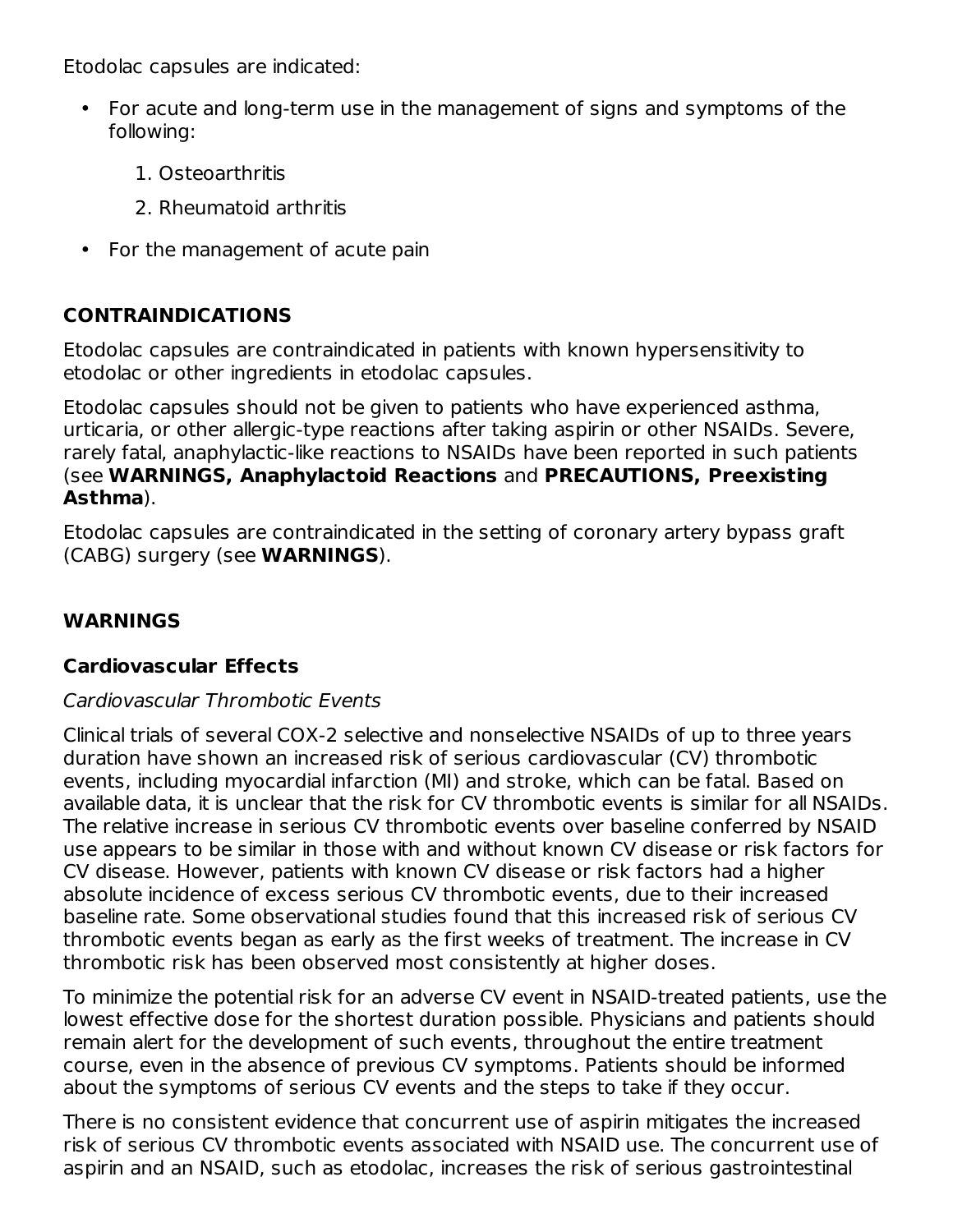Etodolac capsules are indicated:

- $\bullet$ For acute and long-term use in the management of signs and symptoms of the following:
	- 1. Osteoarthritis
	- 2. Rheumatoid arthritis
- For the management of acute pain

# **CONTRAINDICATIONS**

Etodolac capsules are contraindicated in patients with known hypersensitivity to etodolac or other ingredients in etodolac capsules.

Etodolac capsules should not be given to patients who have experienced asthma, urticaria, or other allergic-type reactions after taking aspirin or other NSAIDs. Severe, rarely fatal, anaphylactic-like reactions to NSAIDs have been reported in such patients (see **WARNINGS, Anaphylactoid Reactions** and **PRECAUTIONS, Preexisting Asthma**).

Etodolac capsules are contraindicated in the setting of coronary artery bypass graft (CABG) surgery (see **WARNINGS**).

### **WARNINGS**

### **Cardiovascular Effects**

#### Cardiovascular Thrombotic Events

Clinical trials of several COX-2 selective and nonselective NSAIDs of up to three years duration have shown an increased risk of serious cardiovascular (CV) thrombotic events, including myocardial infarction (MI) and stroke, which can be fatal. Based on available data, it is unclear that the risk for CV thrombotic events is similar for all NSAIDs. The relative increase in serious CV thrombotic events over baseline conferred by NSAID use appears to be similar in those with and without known CV disease or risk factors for CV disease. However, patients with known CV disease or risk factors had a higher absolute incidence of excess serious CV thrombotic events, due to their increased baseline rate. Some observational studies found that this increased risk of serious CV thrombotic events began as early as the first weeks of treatment. The increase in CV thrombotic risk has been observed most consistently at higher doses.

To minimize the potential risk for an adverse CV event in NSAID-treated patients, use the lowest effective dose for the shortest duration possible. Physicians and patients should remain alert for the development of such events, throughout the entire treatment course, even in the absence of previous CV symptoms. Patients should be informed about the symptoms of serious CV events and the steps to take if they occur.

There is no consistent evidence that concurrent use of aspirin mitigates the increased risk of serious CV thrombotic events associated with NSAID use. The concurrent use of aspirin and an NSAID, such as etodolac, increases the risk of serious gastrointestinal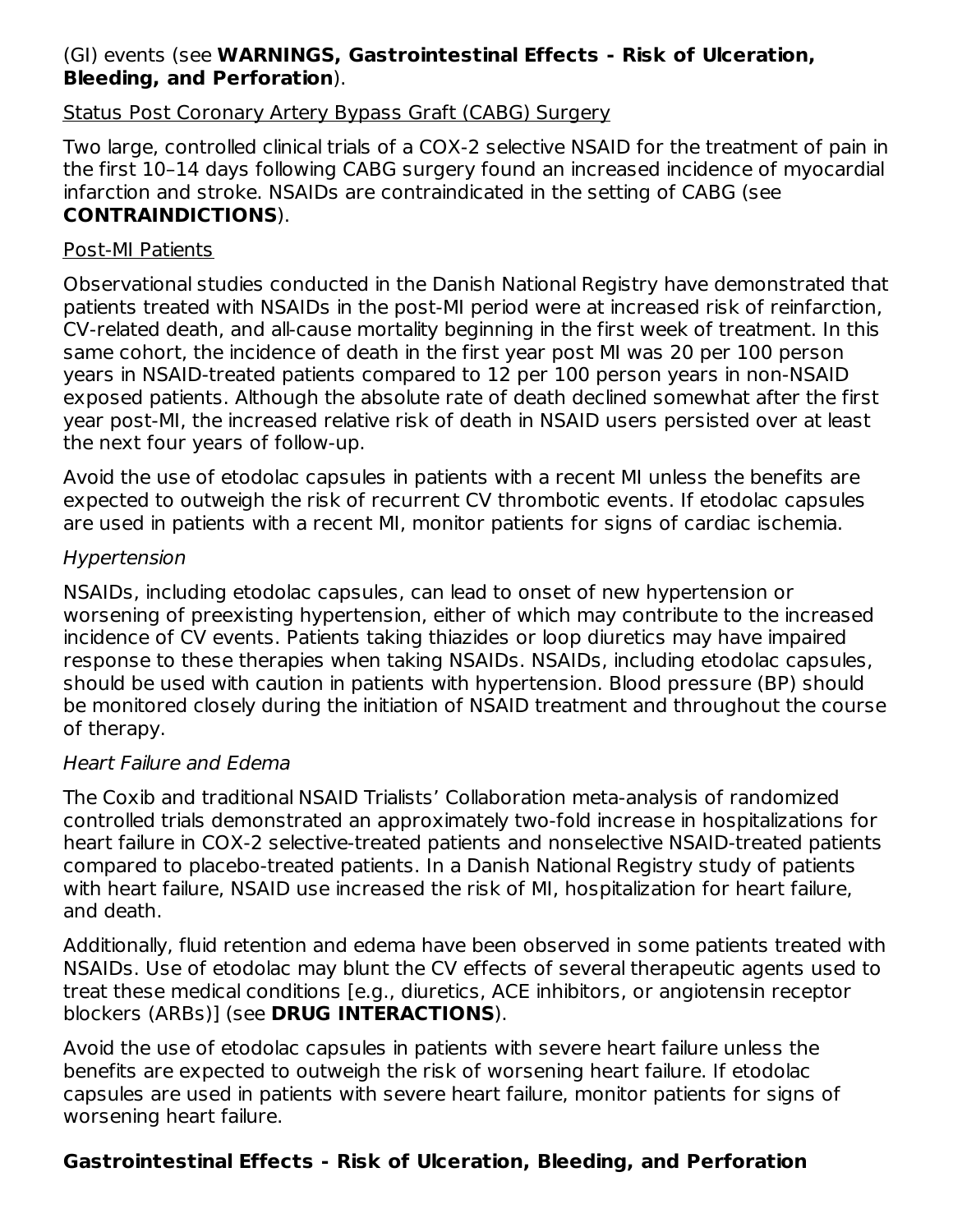#### (GI) events (see **WARNINGS, Gastrointestinal Effects - Risk of Ulceration, Bleeding, and Perforation**).

#### Status Post Coronary Artery Bypass Graft (CABG) Surgery

Two large, controlled clinical trials of a COX-2 selective NSAID for the treatment of pain in the first 10–14 days following CABG surgery found an increased incidence of myocardial infarction and stroke. NSAIDs are contraindicated in the setting of CABG (see **CONTRAINDICTIONS**).

#### Post-MI Patients

Observational studies conducted in the Danish National Registry have demonstrated that patients treated with NSAIDs in the post-MI period were at increased risk of reinfarction, CV-related death, and all-cause mortality beginning in the first week of treatment. In this same cohort, the incidence of death in the first year post MI was 20 per 100 person years in NSAID-treated patients compared to 12 per 100 person years in non-NSAID exposed patients. Although the absolute rate of death declined somewhat after the first year post-MI, the increased relative risk of death in NSAID users persisted over at least the next four years of follow-up.

Avoid the use of etodolac capsules in patients with a recent MI unless the benefits are expected to outweigh the risk of recurrent CV thrombotic events. If etodolac capsules are used in patients with a recent MI, monitor patients for signs of cardiac ischemia.

#### Hypertension

NSAIDs, including etodolac capsules, can lead to onset of new hypertension or worsening of preexisting hypertension, either of which may contribute to the increased incidence of CV events. Patients taking thiazides or loop diuretics may have impaired response to these therapies when taking NSAIDs. NSAIDs, including etodolac capsules, should be used with caution in patients with hypertension. Blood pressure (BP) should be monitored closely during the initiation of NSAID treatment and throughout the course of therapy.

#### Heart Failure and Edema

The Coxib and traditional NSAID Trialists' Collaboration meta-analysis of randomized controlled trials demonstrated an approximately two-fold increase in hospitalizations for heart failure in COX-2 selective-treated patients and nonselective NSAID-treated patients compared to placebo-treated patients. In a Danish National Registry study of patients with heart failure, NSAID use increased the risk of MI, hospitalization for heart failure, and death.

Additionally, fluid retention and edema have been observed in some patients treated with NSAIDs. Use of etodolac may blunt the CV effects of several therapeutic agents used to treat these medical conditions [e.g., diuretics, ACE inhibitors, or angiotensin receptor blockers (ARBs)] (see **DRUG INTERACTIONS**).

Avoid the use of etodolac capsules in patients with severe heart failure unless the benefits are expected to outweigh the risk of worsening heart failure. If etodolac capsules are used in patients with severe heart failure, monitor patients for signs of worsening heart failure.

### **Gastrointestinal Effects - Risk of Ulceration, Bleeding, and Perforation**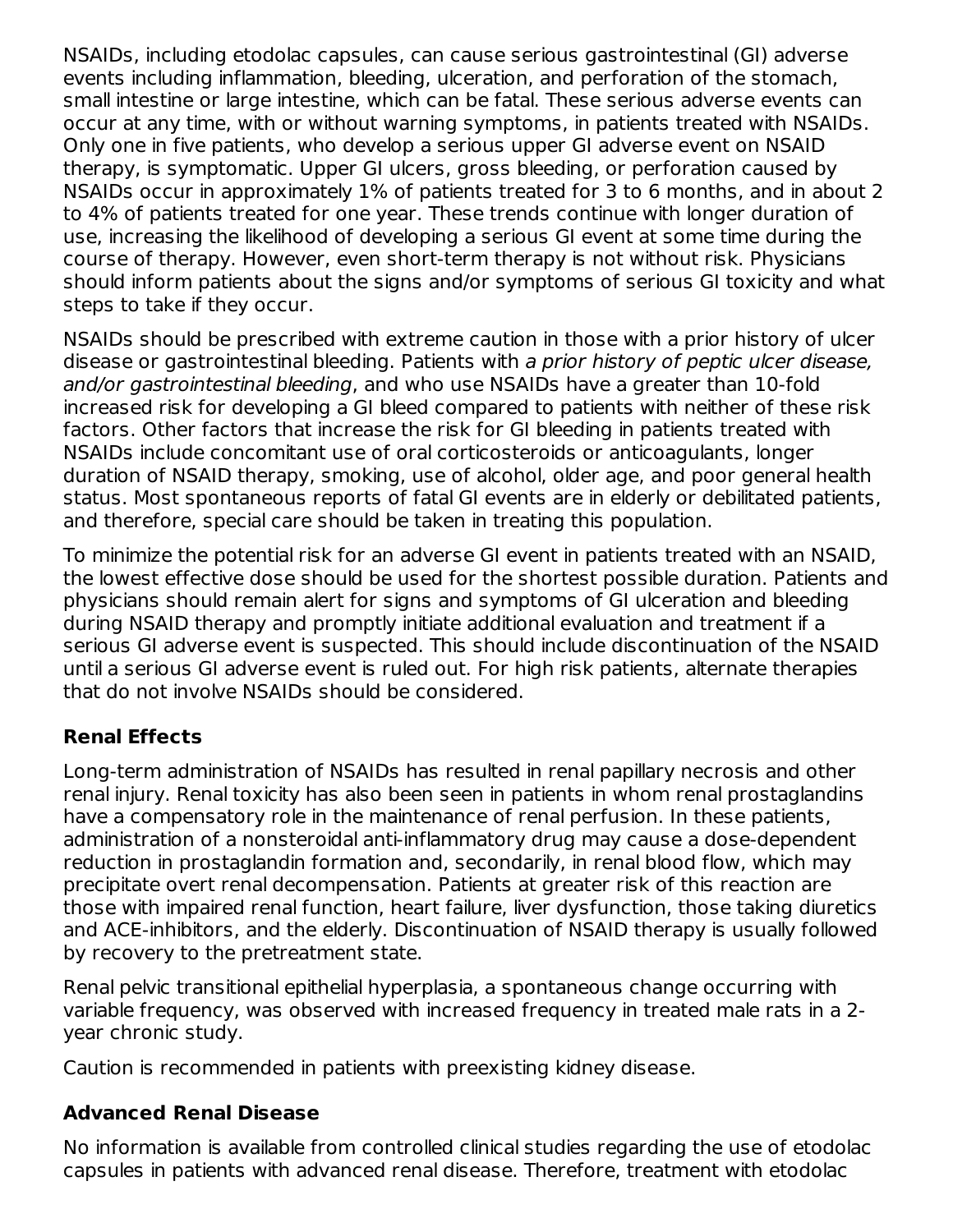NSAIDs, including etodolac capsules, can cause serious gastrointestinal (GI) adverse events including inflammation, bleeding, ulceration, and perforation of the stomach, small intestine or large intestine, which can be fatal. These serious adverse events can occur at any time, with or without warning symptoms, in patients treated with NSAIDs. Only one in five patients, who develop a serious upper GI adverse event on NSAID therapy, is symptomatic. Upper GI ulcers, gross bleeding, or perforation caused by NSAIDs occur in approximately 1% of patients treated for 3 to 6 months, and in about 2 to 4% of patients treated for one year. These trends continue with longer duration of use, increasing the likelihood of developing a serious GI event at some time during the course of therapy. However, even short-term therapy is not without risk. Physicians should inform patients about the signs and/or symptoms of serious GI toxicity and what steps to take if they occur.

NSAIDs should be prescribed with extreme caution in those with a prior history of ulcer disease or gastrointestinal bleeding. Patients with a prior history of peptic ulcer disease, and/or gastrointestinal bleeding, and who use NSAIDs have a greater than 10-fold increased risk for developing a GI bleed compared to patients with neither of these risk factors. Other factors that increase the risk for GI bleeding in patients treated with NSAIDs include concomitant use of oral corticosteroids or anticoagulants, longer duration of NSAID therapy, smoking, use of alcohol, older age, and poor general health status. Most spontaneous reports of fatal GI events are in elderly or debilitated patients, and therefore, special care should be taken in treating this population.

To minimize the potential risk for an adverse GI event in patients treated with an NSAID, the lowest effective dose should be used for the shortest possible duration. Patients and physicians should remain alert for signs and symptoms of GI ulceration and bleeding during NSAID therapy and promptly initiate additional evaluation and treatment if a serious GI adverse event is suspected. This should include discontinuation of the NSAID until a serious GI adverse event is ruled out. For high risk patients, alternate therapies that do not involve NSAIDs should be considered.

### **Renal Effects**

Long-term administration of NSAIDs has resulted in renal papillary necrosis and other renal injury. Renal toxicity has also been seen in patients in whom renal prostaglandins have a compensatory role in the maintenance of renal perfusion. In these patients, administration of a nonsteroidal anti-inflammatory drug may cause a dose-dependent reduction in prostaglandin formation and, secondarily, in renal blood flow, which may precipitate overt renal decompensation. Patients at greater risk of this reaction are those with impaired renal function, heart failure, liver dysfunction, those taking diuretics and ACE-inhibitors, and the elderly. Discontinuation of NSAID therapy is usually followed by recovery to the pretreatment state.

Renal pelvic transitional epithelial hyperplasia, a spontaneous change occurring with variable frequency, was observed with increased frequency in treated male rats in a 2 year chronic study.

Caution is recommended in patients with preexisting kidney disease.

#### **Advanced Renal Disease**

No information is available from controlled clinical studies regarding the use of etodolac capsules in patients with advanced renal disease. Therefore, treatment with etodolac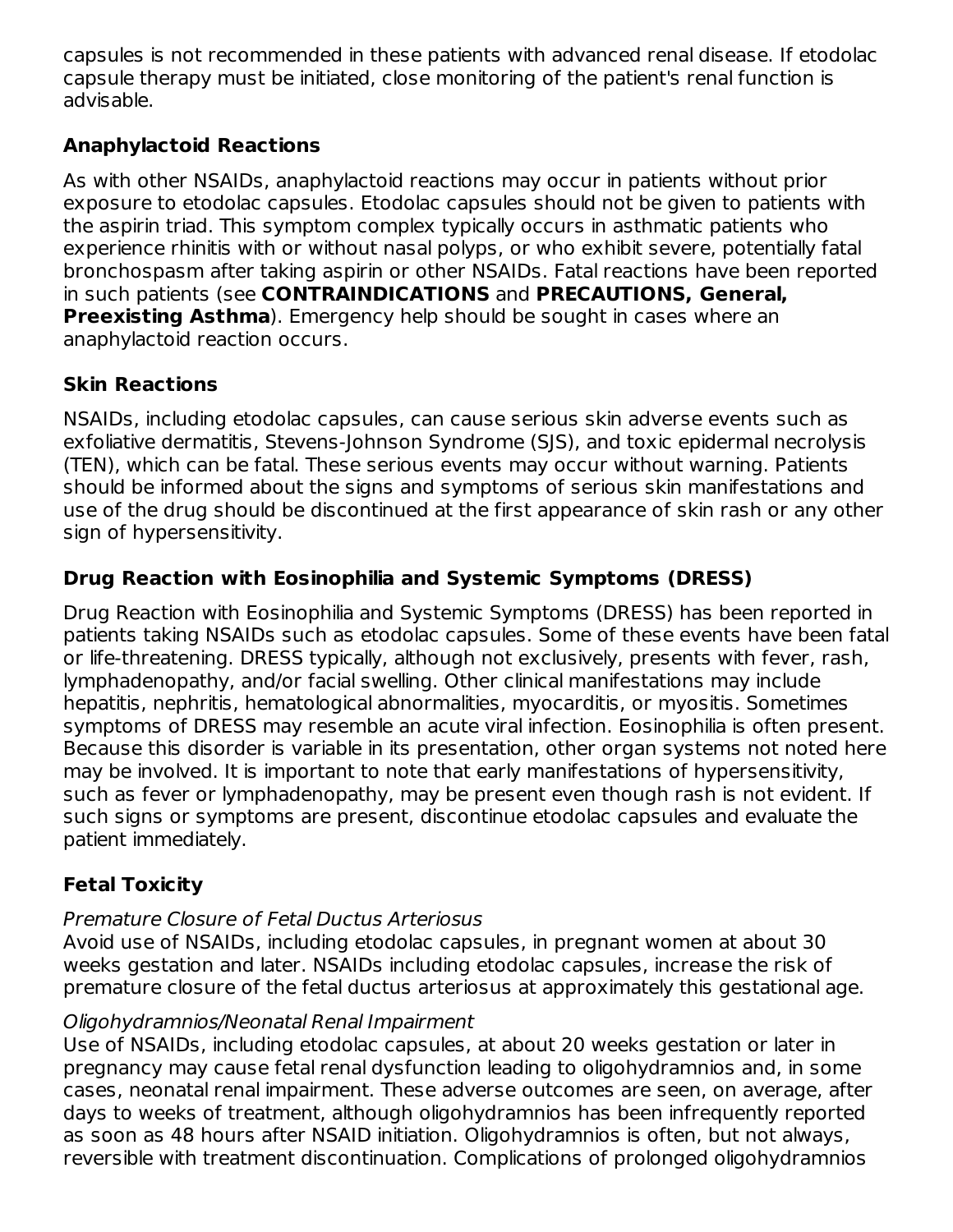capsules is not recommended in these patients with advanced renal disease. If etodolac capsule therapy must be initiated, close monitoring of the patient's renal function is advisable.

## **Anaphylactoid Reactions**

As with other NSAIDs, anaphylactoid reactions may occur in patients without prior exposure to etodolac capsules. Etodolac capsules should not be given to patients with the aspirin triad. This symptom complex typically occurs in asthmatic patients who experience rhinitis with or without nasal polyps, or who exhibit severe, potentially fatal bronchospasm after taking aspirin or other NSAIDs. Fatal reactions have been reported in such patients (see **CONTRAINDICATIONS** and **PRECAUTIONS, General, Preexisting Asthma**). Emergency help should be sought in cases where an anaphylactoid reaction occurs.

# **Skin Reactions**

NSAIDs, including etodolac capsules, can cause serious skin adverse events such as exfoliative dermatitis, Stevens-Johnson Syndrome (SJS), and toxic epidermal necrolysis (TEN), which can be fatal. These serious events may occur without warning. Patients should be informed about the signs and symptoms of serious skin manifestations and use of the drug should be discontinued at the first appearance of skin rash or any other sign of hypersensitivity.

# **Drug Reaction with Eosinophilia and Systemic Symptoms (DRESS)**

Drug Reaction with Eosinophilia and Systemic Symptoms (DRESS) has been reported in patients taking NSAIDs such as etodolac capsules. Some of these events have been fatal or life-threatening. DRESS typically, although not exclusively, presents with fever, rash, lymphadenopathy, and/or facial swelling. Other clinical manifestations may include hepatitis, nephritis, hematological abnormalities, myocarditis, or myositis. Sometimes symptoms of DRESS may resemble an acute viral infection. Eosinophilia is often present. Because this disorder is variable in its presentation, other organ systems not noted here may be involved. It is important to note that early manifestations of hypersensitivity, such as fever or lymphadenopathy, may be present even though rash is not evident. If such signs or symptoms are present, discontinue etodolac capsules and evaluate the patient immediately.

# **Fetal Toxicity**

# Premature Closure of Fetal Ductus Arteriosus

Avoid use of NSAIDs, including etodolac capsules, in pregnant women at about 30 weeks gestation and later. NSAIDs including etodolac capsules, increase the risk of premature closure of the fetal ductus arteriosus at approximately this gestational age.

# Oligohydramnios/Neonatal Renal Impairment

Use of NSAIDs, including etodolac capsules, at about 20 weeks gestation or later in pregnancy may cause fetal renal dysfunction leading to oligohydramnios and, in some cases, neonatal renal impairment. These adverse outcomes are seen, on average, after days to weeks of treatment, although oligohydramnios has been infrequently reported as soon as 48 hours after NSAID initiation. Oligohydramnios is often, but not always, reversible with treatment discontinuation. Complications of prolonged oligohydramnios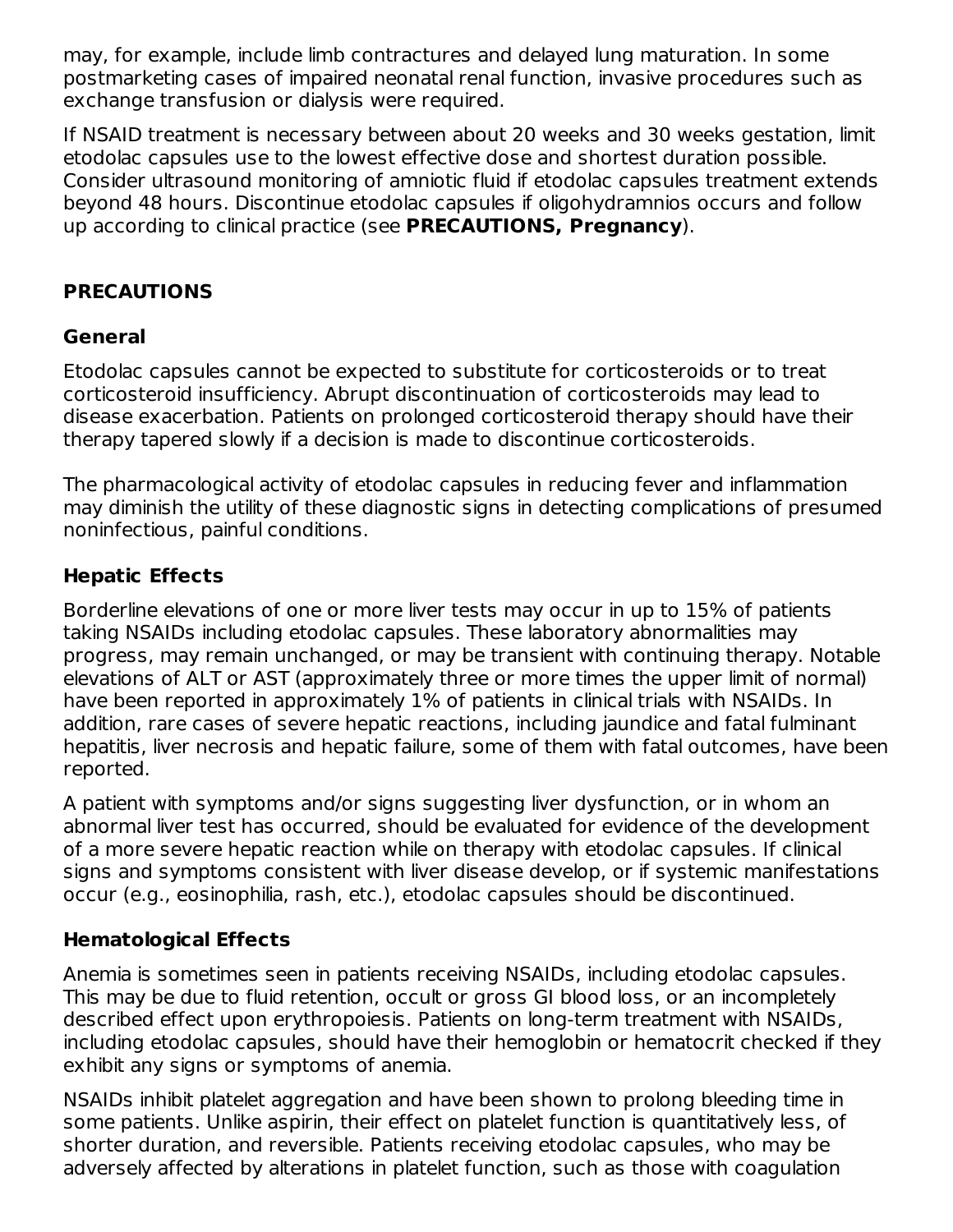may, for example, include limb contractures and delayed lung maturation. In some postmarketing cases of impaired neonatal renal function, invasive procedures such as exchange transfusion or dialysis were required.

If NSAID treatment is necessary between about 20 weeks and 30 weeks gestation, limit etodolac capsules use to the lowest effective dose and shortest duration possible. Consider ultrasound monitoring of amniotic fluid if etodolac capsules treatment extends beyond 48 hours. Discontinue etodolac capsules if oligohydramnios occurs and follow up according to clinical practice (see **PRECAUTIONS, Pregnancy**).

## **PRECAUTIONS**

#### **General**

Etodolac capsules cannot be expected to substitute for corticosteroids or to treat corticosteroid insufficiency. Abrupt discontinuation of corticosteroids may lead to disease exacerbation. Patients on prolonged corticosteroid therapy should have their therapy tapered slowly if a decision is made to discontinue corticosteroids.

The pharmacological activity of etodolac capsules in reducing fever and inflammation may diminish the utility of these diagnostic signs in detecting complications of presumed noninfectious, painful conditions.

### **Hepatic Effects**

Borderline elevations of one or more liver tests may occur in up to 15% of patients taking NSAIDs including etodolac capsules. These laboratory abnormalities may progress, may remain unchanged, or may be transient with continuing therapy. Notable elevations of ALT or AST (approximately three or more times the upper limit of normal) have been reported in approximately 1% of patients in clinical trials with NSAIDs. In addition, rare cases of severe hepatic reactions, including jaundice and fatal fulminant hepatitis, liver necrosis and hepatic failure, some of them with fatal outcomes, have been reported.

A patient with symptoms and/or signs suggesting liver dysfunction, or in whom an abnormal liver test has occurred, should be evaluated for evidence of the development of a more severe hepatic reaction while on therapy with etodolac capsules. If clinical signs and symptoms consistent with liver disease develop, or if systemic manifestations occur (e.g., eosinophilia, rash, etc.), etodolac capsules should be discontinued.

#### **Hematological Effects**

Anemia is sometimes seen in patients receiving NSAIDs, including etodolac capsules. This may be due to fluid retention, occult or gross GI blood loss, or an incompletely described effect upon erythropoiesis. Patients on long-term treatment with NSAIDs, including etodolac capsules, should have their hemoglobin or hematocrit checked if they exhibit any signs or symptoms of anemia.

NSAIDs inhibit platelet aggregation and have been shown to prolong bleeding time in some patients. Unlike aspirin, their effect on platelet function is quantitatively less, of shorter duration, and reversible. Patients receiving etodolac capsules, who may be adversely affected by alterations in platelet function, such as those with coagulation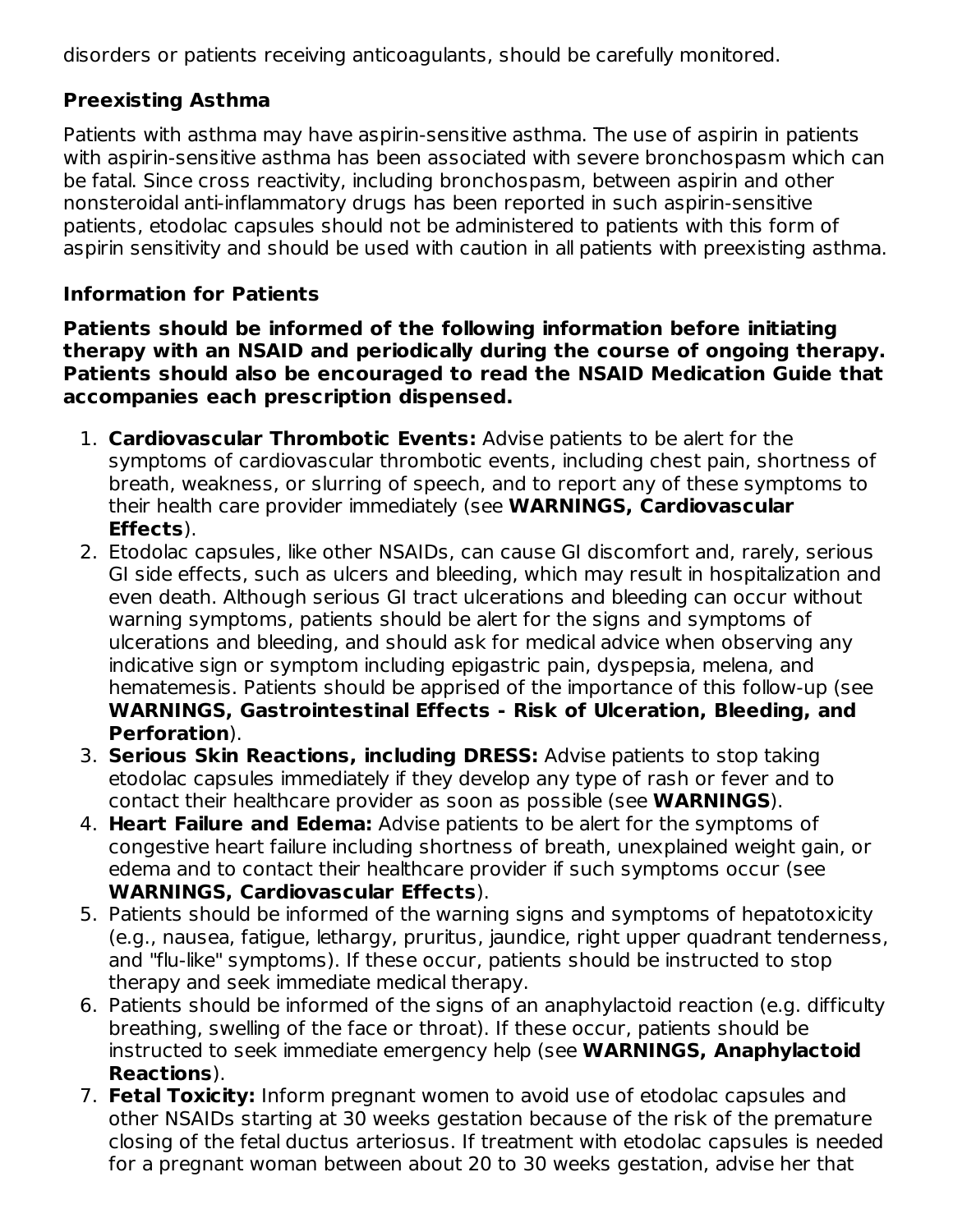disorders or patients receiving anticoagulants, should be carefully monitored.

# **Preexisting Asthma**

Patients with asthma may have aspirin-sensitive asthma. The use of aspirin in patients with aspirin-sensitive asthma has been associated with severe bronchospasm which can be fatal. Since cross reactivity, including bronchospasm, between aspirin and other nonsteroidal anti-inflammatory drugs has been reported in such aspirin-sensitive patients, etodolac capsules should not be administered to patients with this form of aspirin sensitivity and should be used with caution in all patients with preexisting asthma.

## **Information for Patients**

**Patients should be informed of the following information before initiating therapy with an NSAID and periodically during the course of ongoing therapy. Patients should also be encouraged to read the NSAID Medication Guide that accompanies each prescription dispensed.**

- 1. **Cardiovascular Thrombotic Events:** Advise patients to be alert for the symptoms of cardiovascular thrombotic events, including chest pain, shortness of breath, weakness, or slurring of speech, and to report any of these symptoms to their health care provider immediately (see **WARNINGS, Cardiovascular Effects**).
- 2. Etodolac capsules, like other NSAIDs, can cause GI discomfort and, rarely, serious GI side effects, such as ulcers and bleeding, which may result in hospitalization and even death. Although serious GI tract ulcerations and bleeding can occur without warning symptoms, patients should be alert for the signs and symptoms of ulcerations and bleeding, and should ask for medical advice when observing any indicative sign or symptom including epigastric pain, dyspepsia, melena, and hematemesis. Patients should be apprised of the importance of this follow-up (see **WARNINGS, Gastrointestinal Effects - Risk of Ulceration, Bleeding, and Perforation**).
- 3. **Serious Skin Reactions, including DRESS:** Advise patients to stop taking etodolac capsules immediately if they develop any type of rash or fever and to contact their healthcare provider as soon as possible (see **WARNINGS**).
- 4. **Heart Failure and Edema:** Advise patients to be alert for the symptoms of congestive heart failure including shortness of breath, unexplained weight gain, or edema and to contact their healthcare provider if such symptoms occur (see **WARNINGS, Cardiovascular Effects**).
- 5. Patients should be informed of the warning signs and symptoms of hepatotoxicity (e.g., nausea, fatigue, lethargy, pruritus, jaundice, right upper quadrant tenderness, and "flu-like" symptoms). If these occur, patients should be instructed to stop therapy and seek immediate medical therapy.
- 6. Patients should be informed of the signs of an anaphylactoid reaction (e.g. difficulty breathing, swelling of the face or throat). If these occur, patients should be instructed to seek immediate emergency help (see **WARNINGS, Anaphylactoid Reactions**).
- 7. **Fetal Toxicity:** Inform pregnant women to avoid use of etodolac capsules and other NSAIDs starting at 30 weeks gestation because of the risk of the premature closing of the fetal ductus arteriosus. If treatment with etodolac capsules is needed for a pregnant woman between about 20 to 30 weeks gestation, advise her that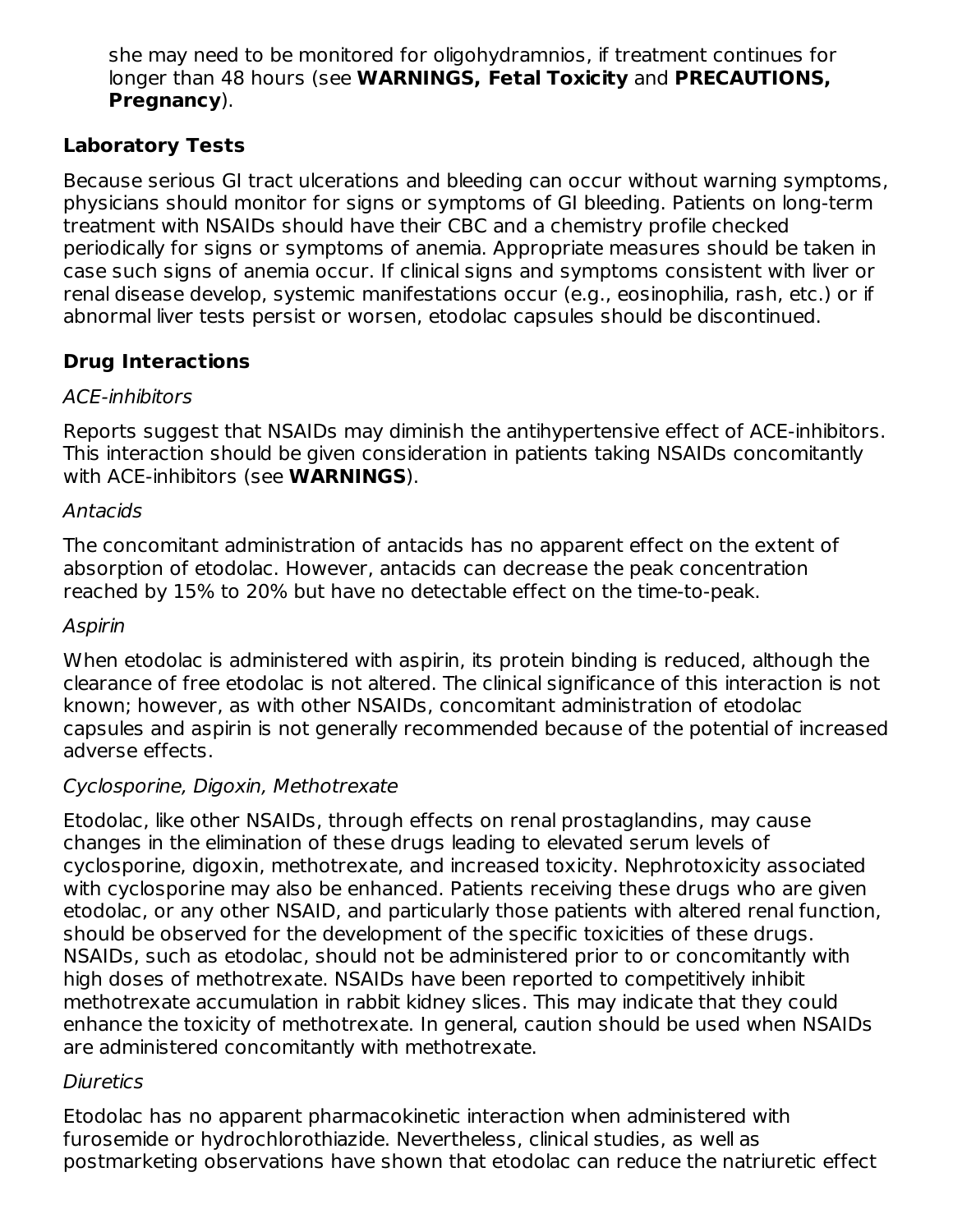she may need to be monitored for oligohydramnios, if treatment continues for longer than 48 hours (see **WARNINGS, Fetal Toxicity** and **PRECAUTIONS, Pregnancy**).

## **Laboratory Tests**

Because serious GI tract ulcerations and bleeding can occur without warning symptoms, physicians should monitor for signs or symptoms of GI bleeding. Patients on long-term treatment with NSAIDs should have their CBC and a chemistry profile checked periodically for signs or symptoms of anemia. Appropriate measures should be taken in case such signs of anemia occur. If clinical signs and symptoms consistent with liver or renal disease develop, systemic manifestations occur (e.g., eosinophilia, rash, etc.) or if abnormal liver tests persist or worsen, etodolac capsules should be discontinued.

# **Drug Interactions**

### ACE-inhibitors

Reports suggest that NSAIDs may diminish the antihypertensive effect of ACE-inhibitors. This interaction should be given consideration in patients taking NSAIDs concomitantly with ACE-inhibitors (see **WARNINGS**).

### Antacids

The concomitant administration of antacids has no apparent effect on the extent of absorption of etodolac. However, antacids can decrease the peak concentration reached by 15% to 20% but have no detectable effect on the time-to-peak.

#### Aspirin

When etodolac is administered with aspirin, its protein binding is reduced, although the clearance of free etodolac is not altered. The clinical significance of this interaction is not known; however, as with other NSAIDs, concomitant administration of etodolac capsules and aspirin is not generally recommended because of the potential of increased adverse effects.

### Cyclosporine, Digoxin, Methotrexate

Etodolac, like other NSAIDs, through effects on renal prostaglandins, may cause changes in the elimination of these drugs leading to elevated serum levels of cyclosporine, digoxin, methotrexate, and increased toxicity. Nephrotoxicity associated with cyclosporine may also be enhanced. Patients receiving these drugs who are given etodolac, or any other NSAID, and particularly those patients with altered renal function, should be observed for the development of the specific toxicities of these drugs. NSAIDs, such as etodolac, should not be administered prior to or concomitantly with high doses of methotrexate. NSAIDs have been reported to competitively inhibit methotrexate accumulation in rabbit kidney slices. This may indicate that they could enhance the toxicity of methotrexate. In general, caution should be used when NSAIDs are administered concomitantly with methotrexate.

### **Diuretics**

Etodolac has no apparent pharmacokinetic interaction when administered with furosemide or hydrochlorothiazide. Nevertheless, clinical studies, as well as postmarketing observations have shown that etodolac can reduce the natriuretic effect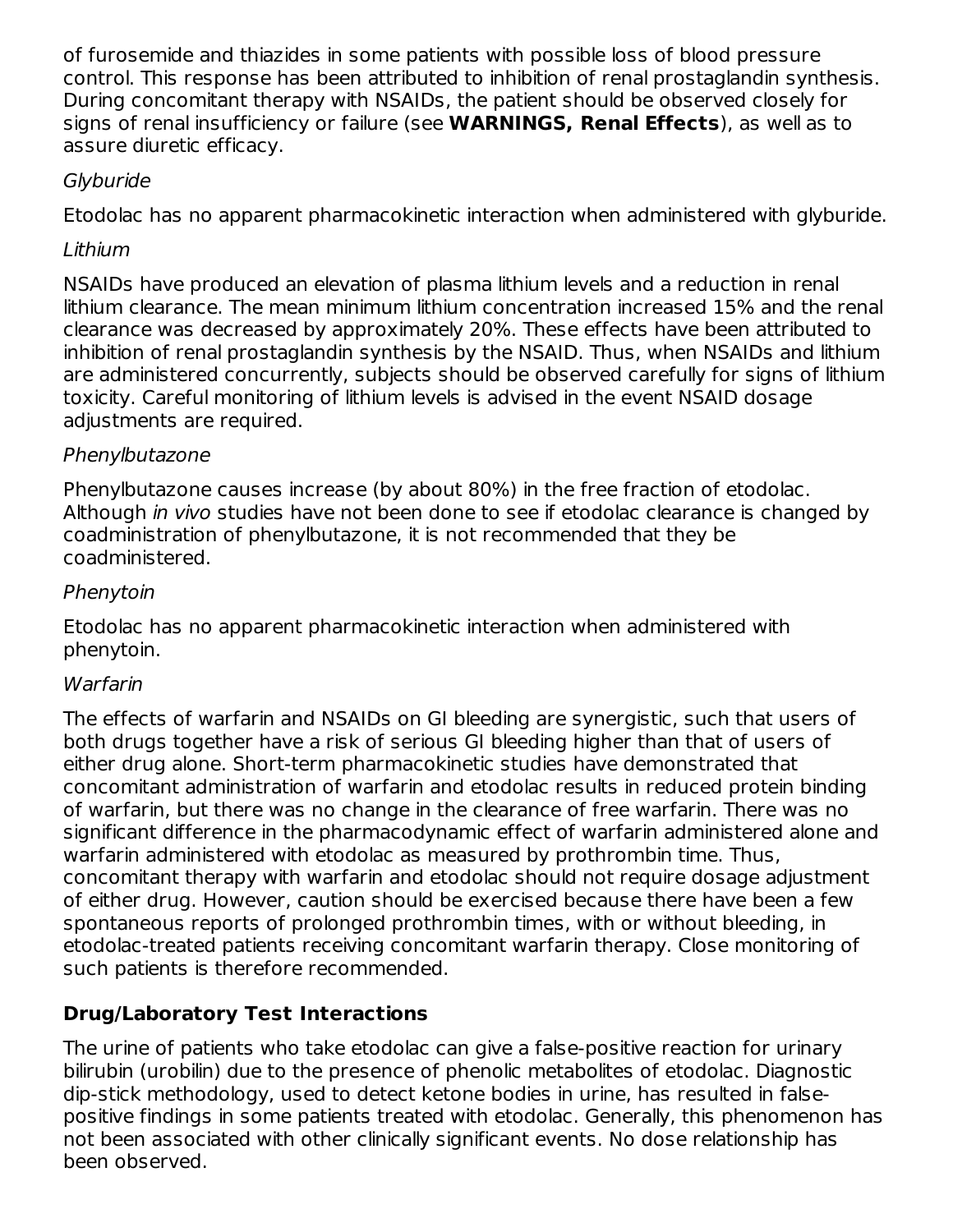of furosemide and thiazides in some patients with possible loss of blood pressure control. This response has been attributed to inhibition of renal prostaglandin synthesis. During concomitant therapy with NSAIDs, the patient should be observed closely for signs of renal insufficiency or failure (see **WARNINGS, Renal Effects**), as well as to assure diuretic efficacy.

### **Glyburide**

Etodolac has no apparent pharmacokinetic interaction when administered with glyburide.

## Lithium

NSAIDs have produced an elevation of plasma lithium levels and a reduction in renal lithium clearance. The mean minimum lithium concentration increased 15% and the renal clearance was decreased by approximately 20%. These effects have been attributed to inhibition of renal prostaglandin synthesis by the NSAID. Thus, when NSAIDs and lithium are administered concurrently, subjects should be observed carefully for signs of lithium toxicity. Careful monitoring of lithium levels is advised in the event NSAID dosage adjustments are required.

## Phenylbutazone

Phenylbutazone causes increase (by about 80%) in the free fraction of etodolac. Although *in vivo* studies have not been done to see if etodolac clearance is changed by coadministration of phenylbutazone, it is not recommended that they be coadministered.

### Phenytoin

Etodolac has no apparent pharmacokinetic interaction when administered with phenytoin.

### **Warfarin**

The effects of warfarin and NSAIDs on GI bleeding are synergistic, such that users of both drugs together have a risk of serious GI bleeding higher than that of users of either drug alone. Short-term pharmacokinetic studies have demonstrated that concomitant administration of warfarin and etodolac results in reduced protein binding of warfarin, but there was no change in the clearance of free warfarin. There was no significant difference in the pharmacodynamic effect of warfarin administered alone and warfarin administered with etodolac as measured by prothrombin time. Thus, concomitant therapy with warfarin and etodolac should not require dosage adjustment of either drug. However, caution should be exercised because there have been a few spontaneous reports of prolonged prothrombin times, with or without bleeding, in etodolac-treated patients receiving concomitant warfarin therapy. Close monitoring of such patients is therefore recommended.

# **Drug/Laboratory Test Interactions**

The urine of patients who take etodolac can give a false-positive reaction for urinary bilirubin (urobilin) due to the presence of phenolic metabolites of etodolac. Diagnostic dip-stick methodology, used to detect ketone bodies in urine, has resulted in falsepositive findings in some patients treated with etodolac. Generally, this phenomenon has not been associated with other clinically significant events. No dose relationship has been observed.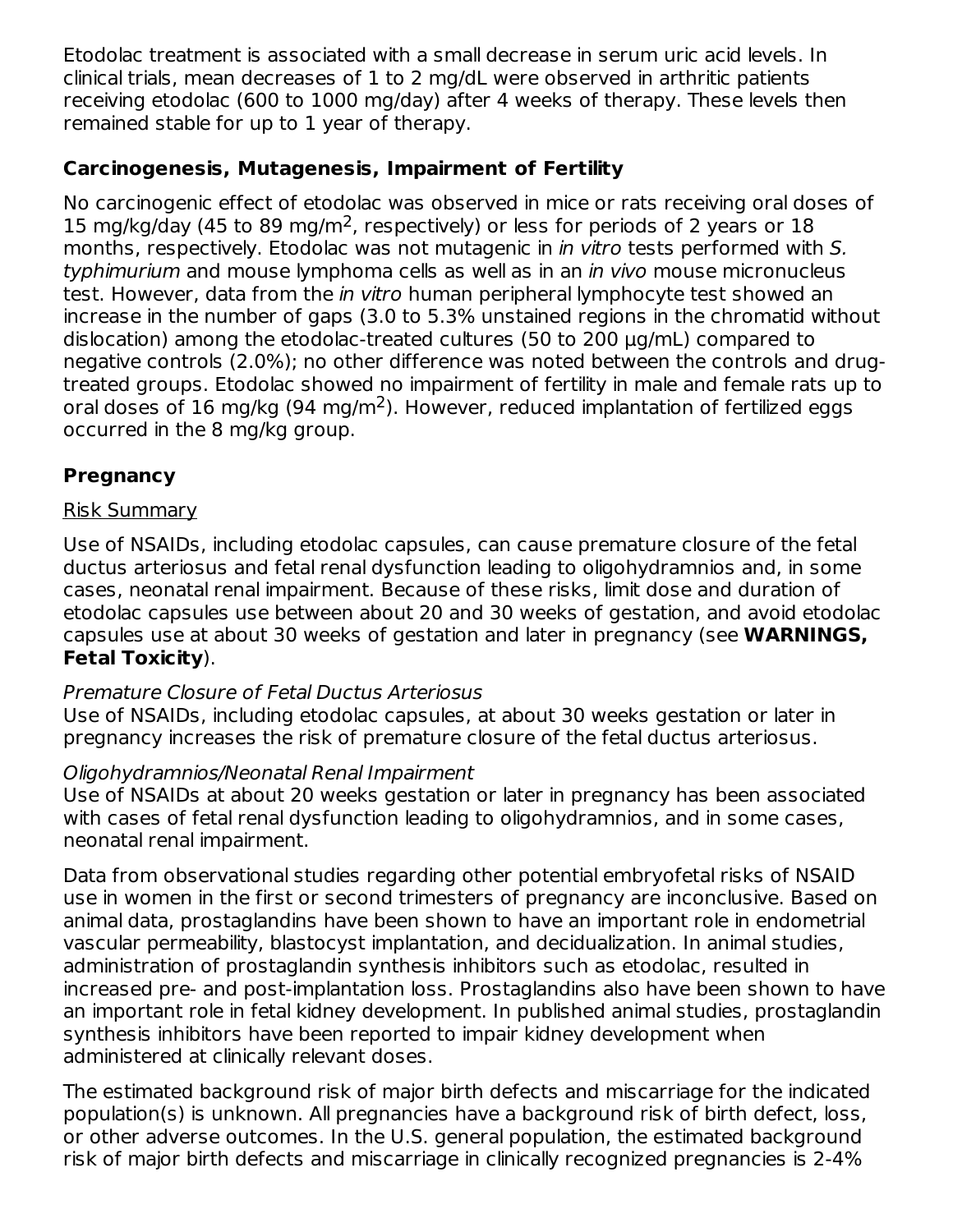Etodolac treatment is associated with a small decrease in serum uric acid levels. In clinical trials, mean decreases of 1 to 2 mg/dL were observed in arthritic patients receiving etodolac (600 to 1000 mg/day) after 4 weeks of therapy. These levels then remained stable for up to 1 year of therapy.

#### **Carcinogenesis, Mutagenesis, Impairment of Fertility**

No carcinogenic effect of etodolac was observed in mice or rats receiving oral doses of 15 mg/kg/day (45 to 89 mg/m<sup>2</sup>, respectively) or less for periods of 2 years or 18 months, respectively. Etodolac was not mutagenic in *in vitro* tests performed with S. typhimurium and mouse lymphoma cells as well as in an in vivo mouse micronucleus test. However, data from the *in vitro* human peripheral lymphocyte test showed an increase in the number of gaps (3.0 to 5.3% unstained regions in the chromatid without dislocation) among the etodolac-treated cultures (50 to 200 µg/mL) compared to negative controls (2.0%); no other difference was noted between the controls and drugtreated groups. Etodolac showed no impairment of fertility in male and female rats up to oral doses of 16 mg/kg (94 mg/m<sup>2</sup>). However, reduced implantation of fertilized eggs occurred in the 8 mg/kg group.

### **Pregnancy**

#### Risk Summary

Use of NSAIDs, including etodolac capsules, can cause premature closure of the fetal ductus arteriosus and fetal renal dysfunction leading to oligohydramnios and, in some cases, neonatal renal impairment. Because of these risks, limit dose and duration of etodolac capsules use between about 20 and 30 weeks of gestation, and avoid etodolac capsules use at about 30 weeks of gestation and later in pregnancy (see **WARNINGS, Fetal Toxicity**).

#### Premature Closure of Fetal Ductus Arteriosus

Use of NSAIDs, including etodolac capsules, at about 30 weeks gestation or later in pregnancy increases the risk of premature closure of the fetal ductus arteriosus.

#### Oligohydramnios/Neonatal Renal Impairment

Use of NSAIDs at about 20 weeks gestation or later in pregnancy has been associated with cases of fetal renal dysfunction leading to oligohydramnios, and in some cases, neonatal renal impairment.

Data from observational studies regarding other potential embryofetal risks of NSAID use in women in the first or second trimesters of pregnancy are inconclusive. Based on animal data, prostaglandins have been shown to have an important role in endometrial vascular permeability, blastocyst implantation, and decidualization. In animal studies, administration of prostaglandin synthesis inhibitors such as etodolac, resulted in increased pre- and post-implantation loss. Prostaglandins also have been shown to have an important role in fetal kidney development. In published animal studies, prostaglandin synthesis inhibitors have been reported to impair kidney development when administered at clinically relevant doses.

The estimated background risk of major birth defects and miscarriage for the indicated population(s) is unknown. All pregnancies have a background risk of birth defect, loss, or other adverse outcomes. In the U.S. general population, the estimated background risk of major birth defects and miscarriage in clinically recognized pregnancies is 2-4%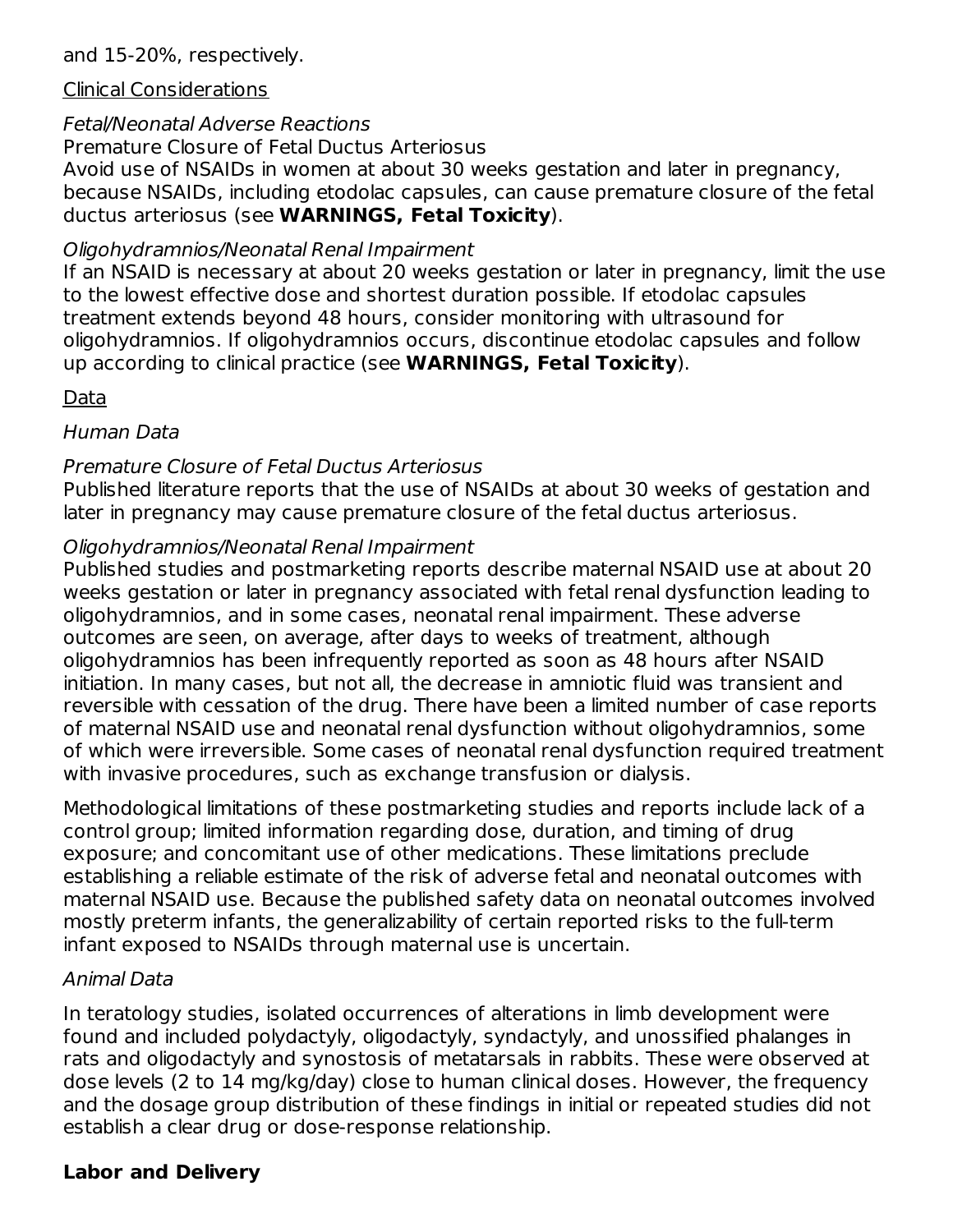#### Clinical Considerations

## Fetal/Neonatal Adverse Reactions

Premature Closure of Fetal Ductus Arteriosus

Avoid use of NSAIDs in women at about 30 weeks gestation and later in pregnancy, because NSAIDs, including etodolac capsules, can cause premature closure of the fetal ductus arteriosus (see **WARNINGS, Fetal Toxicity**).

#### Oligohydramnios/Neonatal Renal Impairment

If an NSAID is necessary at about 20 weeks gestation or later in pregnancy, limit the use to the lowest effective dose and shortest duration possible. If etodolac capsules treatment extends beyond 48 hours, consider monitoring with ultrasound for oligohydramnios. If oligohydramnios occurs, discontinue etodolac capsules and follow up according to clinical practice (see **WARNINGS, Fetal Toxicity**).

### Data

#### Human Data

#### Premature Closure of Fetal Ductus Arteriosus

Published literature reports that the use of NSAIDs at about 30 weeks of gestation and later in pregnancy may cause premature closure of the fetal ductus arteriosus.

#### Oligohydramnios/Neonatal Renal Impairment

Published studies and postmarketing reports describe maternal NSAID use at about 20 weeks gestation or later in pregnancy associated with fetal renal dysfunction leading to oligohydramnios, and in some cases, neonatal renal impairment. These adverse outcomes are seen, on average, after days to weeks of treatment, although oligohydramnios has been infrequently reported as soon as 48 hours after NSAID initiation. In many cases, but not all, the decrease in amniotic fluid was transient and reversible with cessation of the drug. There have been a limited number of case reports of maternal NSAID use and neonatal renal dysfunction without oligohydramnios, some of which were irreversible. Some cases of neonatal renal dysfunction required treatment with invasive procedures, such as exchange transfusion or dialysis.

Methodological limitations of these postmarketing studies and reports include lack of a control group; limited information regarding dose, duration, and timing of drug exposure; and concomitant use of other medications. These limitations preclude establishing a reliable estimate of the risk of adverse fetal and neonatal outcomes with maternal NSAID use. Because the published safety data on neonatal outcomes involved mostly preterm infants, the generalizability of certain reported risks to the full-term infant exposed to NSAIDs through maternal use is uncertain.

#### Animal Data

In teratology studies, isolated occurrences of alterations in limb development were found and included polydactyly, oligodactyly, syndactyly, and unossified phalanges in rats and oligodactyly and synostosis of metatarsals in rabbits. These were observed at dose levels (2 to 14 mg/kg/day) close to human clinical doses. However, the frequency and the dosage group distribution of these findings in initial or repeated studies did not establish a clear drug or dose-response relationship.

### **Labor and Delivery**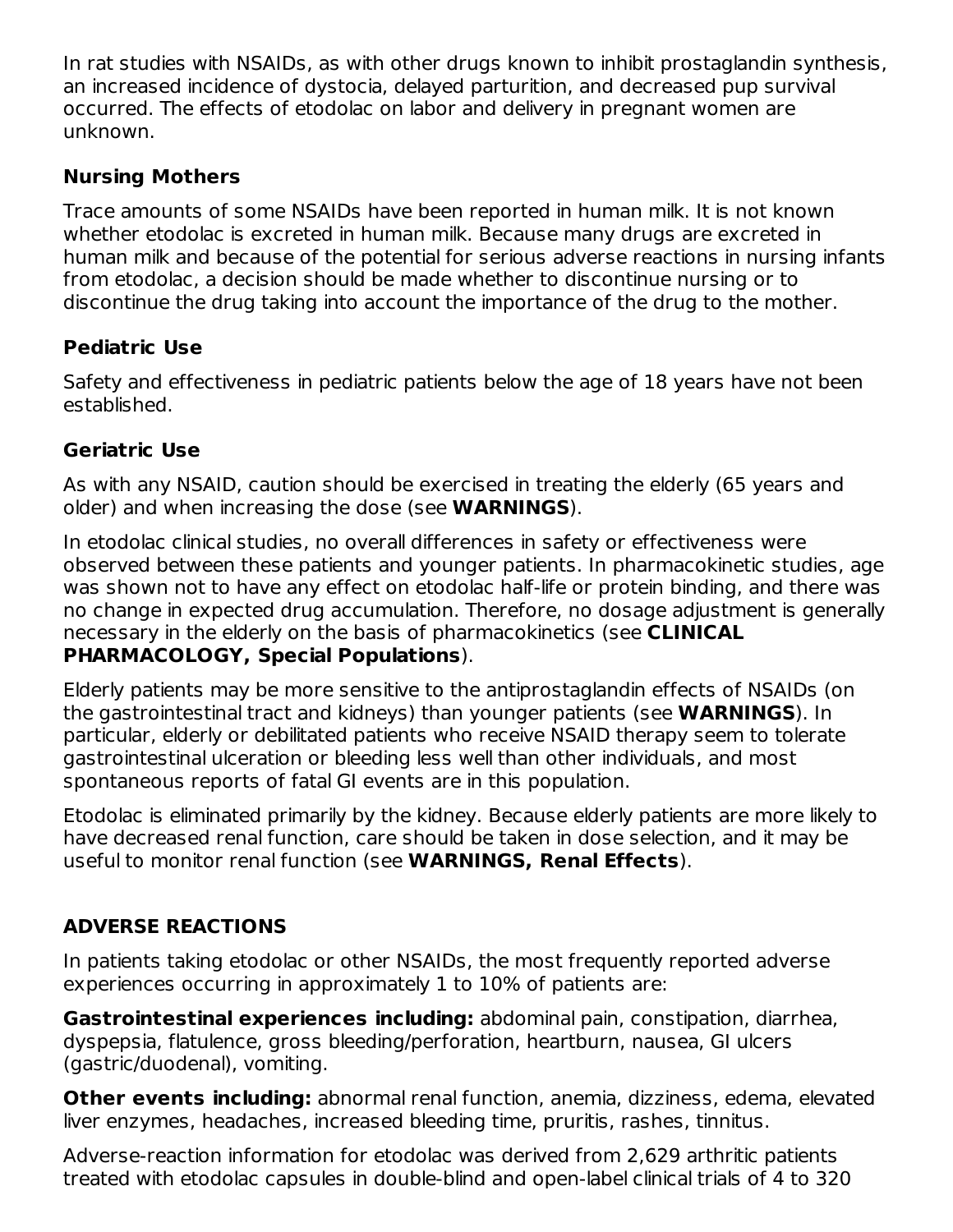In rat studies with NSAIDs, as with other drugs known to inhibit prostaglandin synthesis, an increased incidence of dystocia, delayed parturition, and decreased pup survival occurred. The effects of etodolac on labor and delivery in pregnant women are unknown.

### **Nursing Mothers**

Trace amounts of some NSAIDs have been reported in human milk. It is not known whether etodolac is excreted in human milk. Because many drugs are excreted in human milk and because of the potential for serious adverse reactions in nursing infants from etodolac, a decision should be made whether to discontinue nursing or to discontinue the drug taking into account the importance of the drug to the mother.

### **Pediatric Use**

Safety and effectiveness in pediatric patients below the age of 18 years have not been established.

#### **Geriatric Use**

As with any NSAID, caution should be exercised in treating the elderly (65 years and older) and when increasing the dose (see **WARNINGS**).

In etodolac clinical studies, no overall differences in safety or effectiveness were observed between these patients and younger patients. In pharmacokinetic studies, age was shown not to have any effect on etodolac half-life or protein binding, and there was no change in expected drug accumulation. Therefore, no dosage adjustment is generally necessary in the elderly on the basis of pharmacokinetics (see **CLINICAL PHARMACOLOGY, Special Populations**).

Elderly patients may be more sensitive to the antiprostaglandin effects of NSAIDs (on the gastrointestinal tract and kidneys) than younger patients (see **WARNINGS**). In particular, elderly or debilitated patients who receive NSAID therapy seem to tolerate gastrointestinal ulceration or bleeding less well than other individuals, and most spontaneous reports of fatal GI events are in this population.

Etodolac is eliminated primarily by the kidney. Because elderly patients are more likely to have decreased renal function, care should be taken in dose selection, and it may be useful to monitor renal function (see **WARNINGS, Renal Effects**).

# **ADVERSE REACTIONS**

In patients taking etodolac or other NSAIDs, the most frequently reported adverse experiences occurring in approximately 1 to 10% of patients are:

**Gastrointestinal experiences including:** abdominal pain, constipation, diarrhea, dyspepsia, flatulence, gross bleeding/perforation, heartburn, nausea, GI ulcers (gastric/duodenal), vomiting.

**Other events including:** abnormal renal function, anemia, dizziness, edema, elevated liver enzymes, headaches, increased bleeding time, pruritis, rashes, tinnitus.

Adverse-reaction information for etodolac was derived from 2,629 arthritic patients treated with etodolac capsules in double-blind and open-label clinical trials of 4 to 320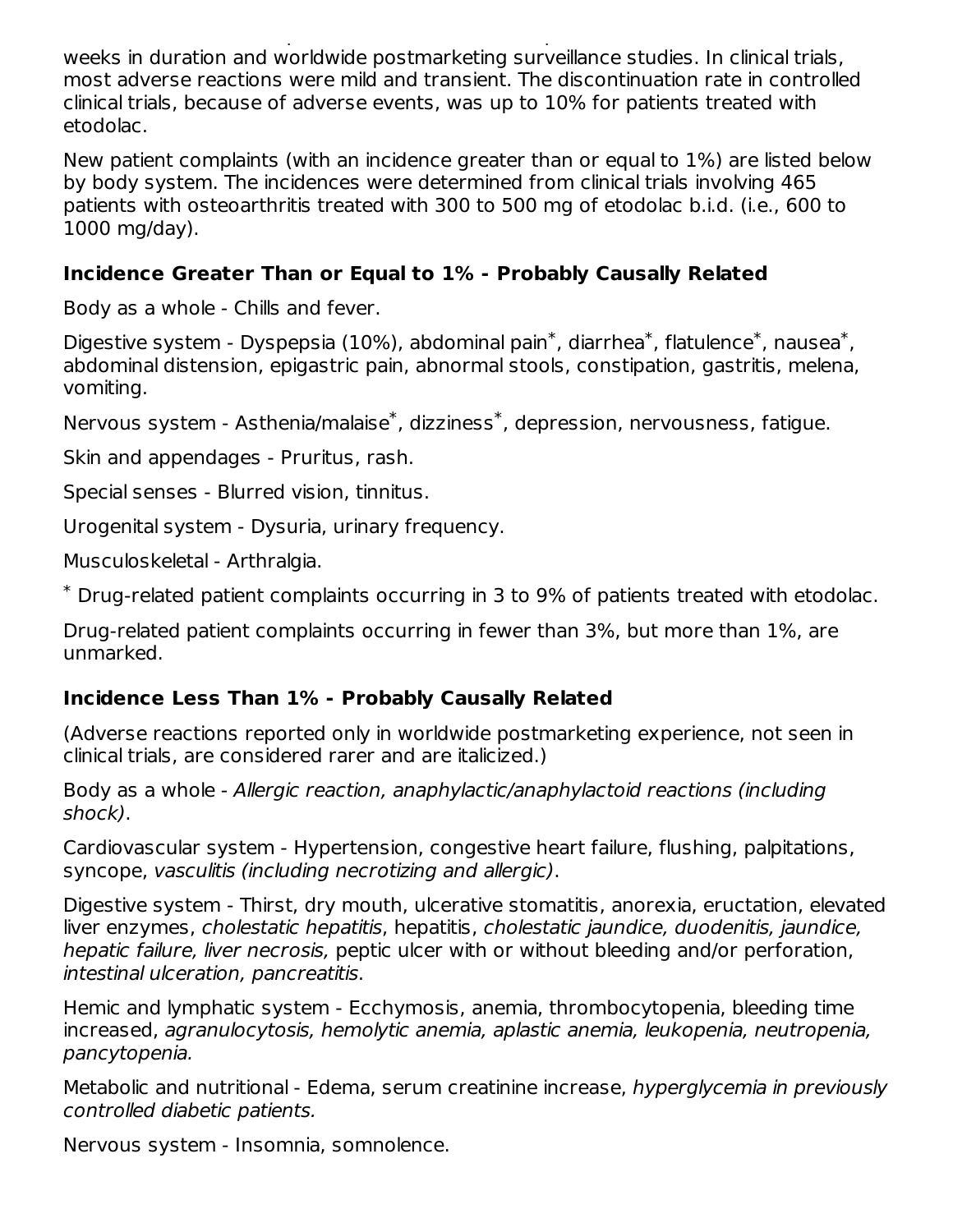treated with etodolac capsules in double-blind and open-label clinical trials of 4 to 320 weeks in duration and worldwide postmarketing surveillance studies. In clinical trials, most adverse reactions were mild and transient. The discontinuation rate in controlled clinical trials, because of adverse events, was up to 10% for patients treated with etodolac.

New patient complaints (with an incidence greater than or equal to 1%) are listed below by body system. The incidences were determined from clinical trials involving 465 patients with osteoarthritis treated with 300 to 500 mg of etodolac b.i.d. (i.e., 600 to 1000 mg/day).

#### **Incidence Greater Than or Equal to 1% - Probably Causally Related**

Body as a whole - Chills and fever.

Digestive system - Dyspepsia (10%), abdominal pain<sup>\*</sup>, diarrhea<sup>\*</sup>, flatulence<sup>\*</sup>, nausea<sup>\*</sup>, abdominal distension, epigastric pain, abnormal stools, constipation, gastritis, melena, vomiting.

Nervous system - Asthenia/malaise<sup>\*</sup>, dizziness<sup>\*</sup>, depression, nervousness, fatigue.

Skin and appendages - Pruritus, rash.

Special senses - Blurred vision, tinnitus.

Urogenital system - Dysuria, urinary frequency.

Musculoskeletal - Arthralgia.

Drug-related patient complaints occurring in 3 to 9% of patients treated with etodolac. \*

Drug-related patient complaints occurring in fewer than 3%, but more than 1%, are unmarked.

# **Incidence Less Than 1% - Probably Causally Related**

(Adverse reactions reported only in worldwide postmarketing experience, not seen in clinical trials, are considered rarer and are italicized.)

Body as a whole - Allergic reaction, anaphylactic/anaphylactoid reactions (including shock).

Cardiovascular system - Hypertension, congestive heart failure, flushing, palpitations, syncope, vasculitis (including necrotizing and allergic).

Digestive system - Thirst, dry mouth, ulcerative stomatitis, anorexia, eructation, elevated liver enzymes, cholestatic hepatitis, hepatitis, cholestatic jaundice, duodenitis, jaundice, hepatic failure, liver necrosis, peptic ulcer with or without bleeding and/or perforation, intestinal ulceration, pancreatitis.

Hemic and lymphatic system - Ecchymosis, anemia, thrombocytopenia, bleeding time increased, agranulocytosis, hemolytic anemia, aplastic anemia, leukopenia, neutropenia, pancytopenia.

Metabolic and nutritional - Edema, serum creatinine increase, hyperglycemia in previously controlled diabetic patients.

Nervous system - Insomnia, somnolence.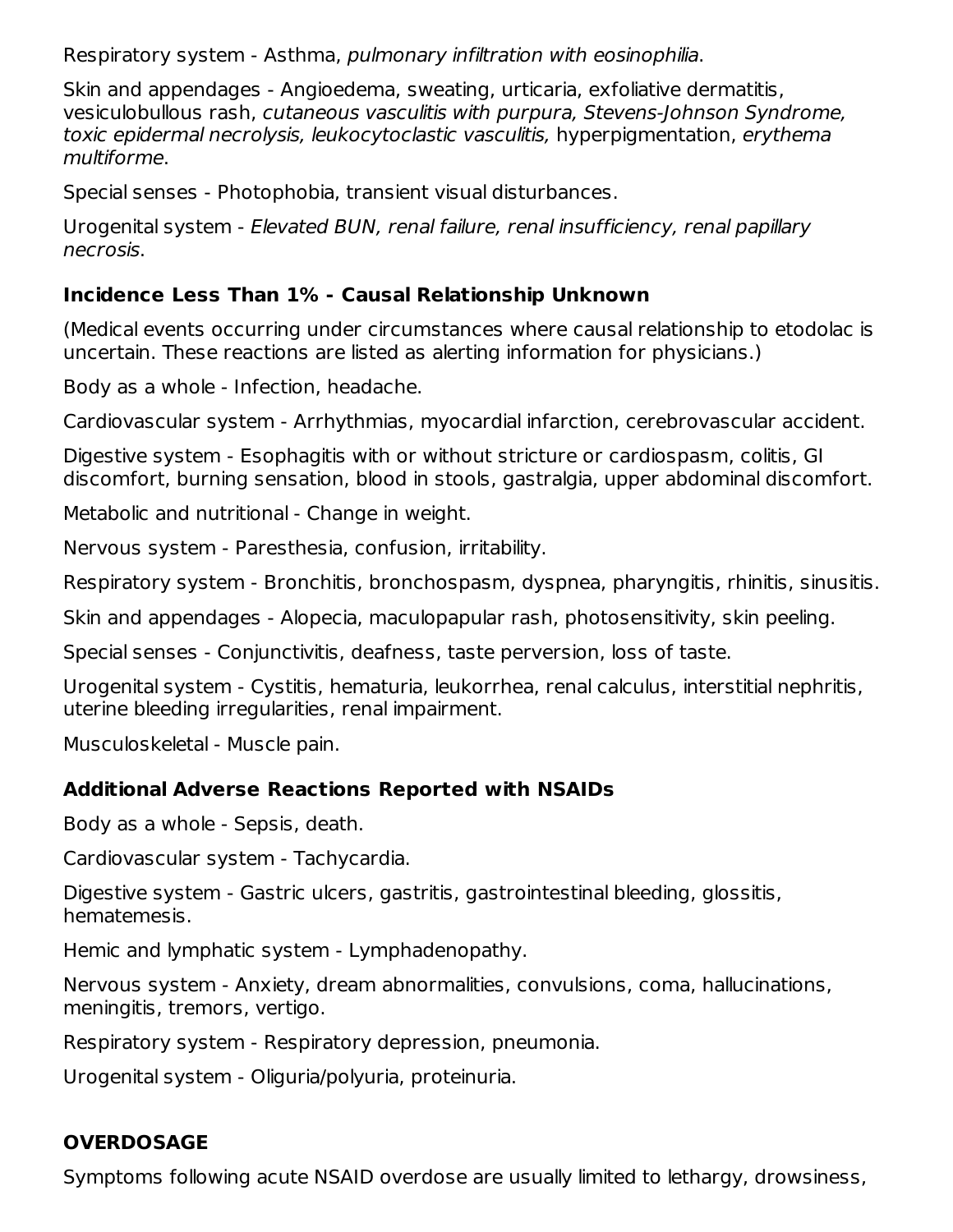Respiratory system - Asthma, pulmonary infiltration with eosinophilia.

Skin and appendages - Angioedema, sweating, urticaria, exfoliative dermatitis, vesiculobullous rash, cutaneous vasculitis with purpura, Stevens-Johnson Syndrome, toxic epidermal necrolysis, leukocytoclastic vasculitis, hyperpigmentation, erythema multiforme.

Special senses - Photophobia, transient visual disturbances.

Urogenital system - Elevated BUN, renal failure, renal insufficiency, renal papillary necrosis.

#### **Incidence Less Than 1% - Causal Relationship Unknown**

(Medical events occurring under circumstances where causal relationship to etodolac is uncertain. These reactions are listed as alerting information for physicians.)

Body as a whole - Infection, headache.

Cardiovascular system - Arrhythmias, myocardial infarction, cerebrovascular accident.

Digestive system - Esophagitis with or without stricture or cardiospasm, colitis, GI discomfort, burning sensation, blood in stools, gastralgia, upper abdominal discomfort.

Metabolic and nutritional - Change in weight.

Nervous system - Paresthesia, confusion, irritability.

Respiratory system - Bronchitis, bronchospasm, dyspnea, pharyngitis, rhinitis, sinusitis.

Skin and appendages - Alopecia, maculopapular rash, photosensitivity, skin peeling.

Special senses - Conjunctivitis, deafness, taste perversion, loss of taste.

Urogenital system - Cystitis, hematuria, leukorrhea, renal calculus, interstitial nephritis, uterine bleeding irregularities, renal impairment.

Musculoskeletal - Muscle pain.

### **Additional Adverse Reactions Reported with NSAIDs**

Body as a whole - Sepsis, death.

Cardiovascular system - Tachycardia.

Digestive system - Gastric ulcers, gastritis, gastrointestinal bleeding, glossitis, hematemesis.

Hemic and lymphatic system - Lymphadenopathy.

Nervous system - Anxiety, dream abnormalities, convulsions, coma, hallucinations, meningitis, tremors, vertigo.

Respiratory system - Respiratory depression, pneumonia.

Urogenital system - Oliguria/polyuria, proteinuria.

### **OVERDOSAGE**

Symptoms following acute NSAID overdose are usually limited to lethargy, drowsiness,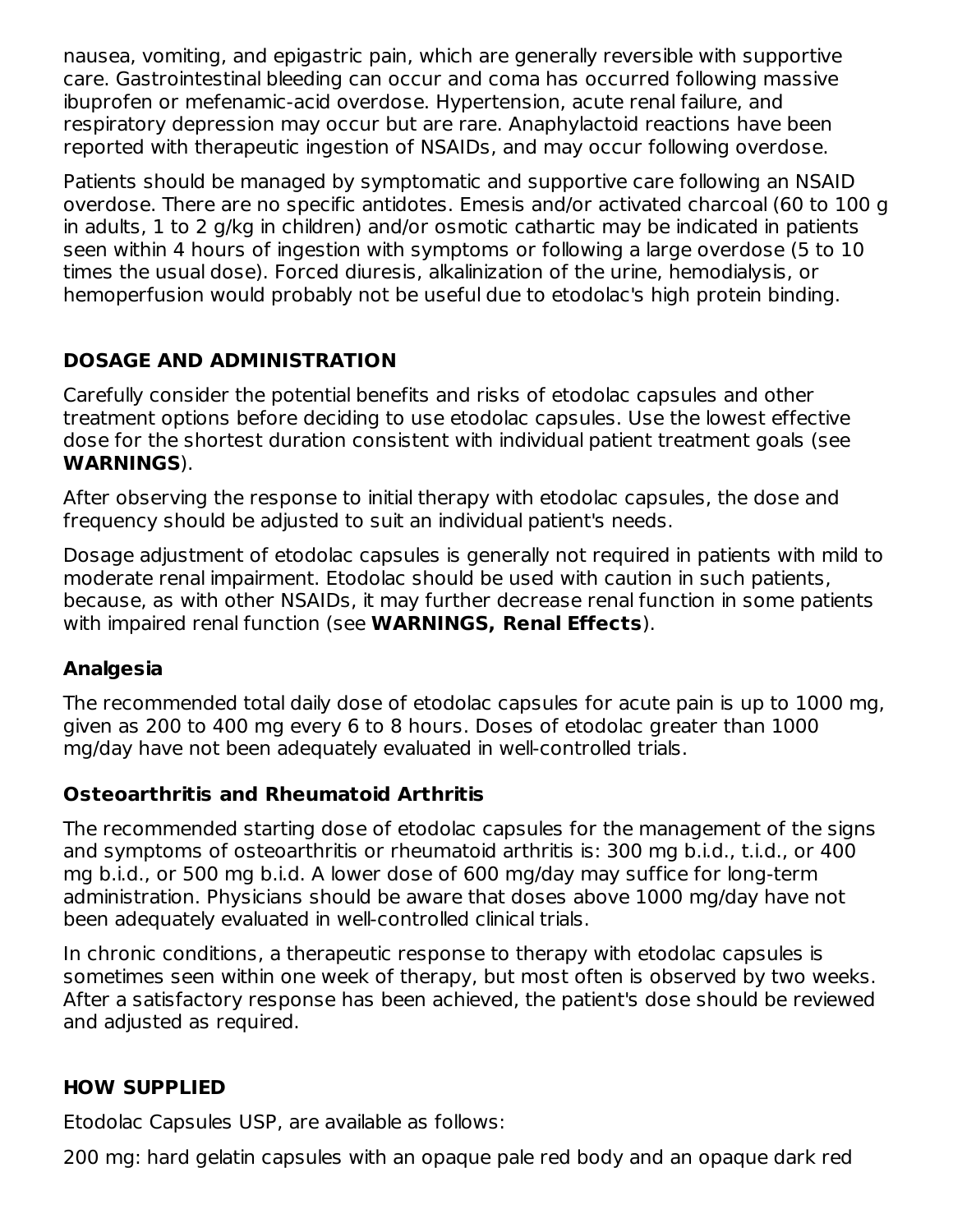nausea, vomiting, and epigastric pain, which are generally reversible with supportive care. Gastrointestinal bleeding can occur and coma has occurred following massive ibuprofen or mefenamic-acid overdose. Hypertension, acute renal failure, and respiratory depression may occur but are rare. Anaphylactoid reactions have been reported with therapeutic ingestion of NSAIDs, and may occur following overdose.

Patients should be managed by symptomatic and supportive care following an NSAID overdose. There are no specific antidotes. Emesis and/or activated charcoal (60 to 100 g in adults, 1 to 2 g/kg in children) and/or osmotic cathartic may be indicated in patients seen within 4 hours of ingestion with symptoms or following a large overdose (5 to 10 times the usual dose). Forced diuresis, alkalinization of the urine, hemodialysis, or hemoperfusion would probably not be useful due to etodolac's high protein binding.

## **DOSAGE AND ADMINISTRATION**

Carefully consider the potential benefits and risks of etodolac capsules and other treatment options before deciding to use etodolac capsules. Use the lowest effective dose for the shortest duration consistent with individual patient treatment goals (see **WARNINGS**).

After observing the response to initial therapy with etodolac capsules, the dose and frequency should be adjusted to suit an individual patient's needs.

Dosage adjustment of etodolac capsules is generally not required in patients with mild to moderate renal impairment. Etodolac should be used with caution in such patients, because, as with other NSAIDs, it may further decrease renal function in some patients with impaired renal function (see **WARNINGS, Renal Effects**).

### **Analgesia**

The recommended total daily dose of etodolac capsules for acute pain is up to 1000 mg, given as 200 to 400 mg every 6 to 8 hours. Doses of etodolac greater than 1000 mg/day have not been adequately evaluated in well-controlled trials.

### **Osteoarthritis and Rheumatoid Arthritis**

The recommended starting dose of etodolac capsules for the management of the signs and symptoms of osteoarthritis or rheumatoid arthritis is: 300 mg b.i.d., t.i.d., or 400 mg b.i.d., or 500 mg b.i.d. A lower dose of 600 mg/day may suffice for long-term administration. Physicians should be aware that doses above 1000 mg/day have not been adequately evaluated in well-controlled clinical trials.

In chronic conditions, a therapeutic response to therapy with etodolac capsules is sometimes seen within one week of therapy, but most often is observed by two weeks. After a satisfactory response has been achieved, the patient's dose should be reviewed and adjusted as required.

### **HOW SUPPLIED**

Etodolac Capsules USP, are available as follows:

200 mg: hard gelatin capsules with an opaque pale red body and an opaque dark red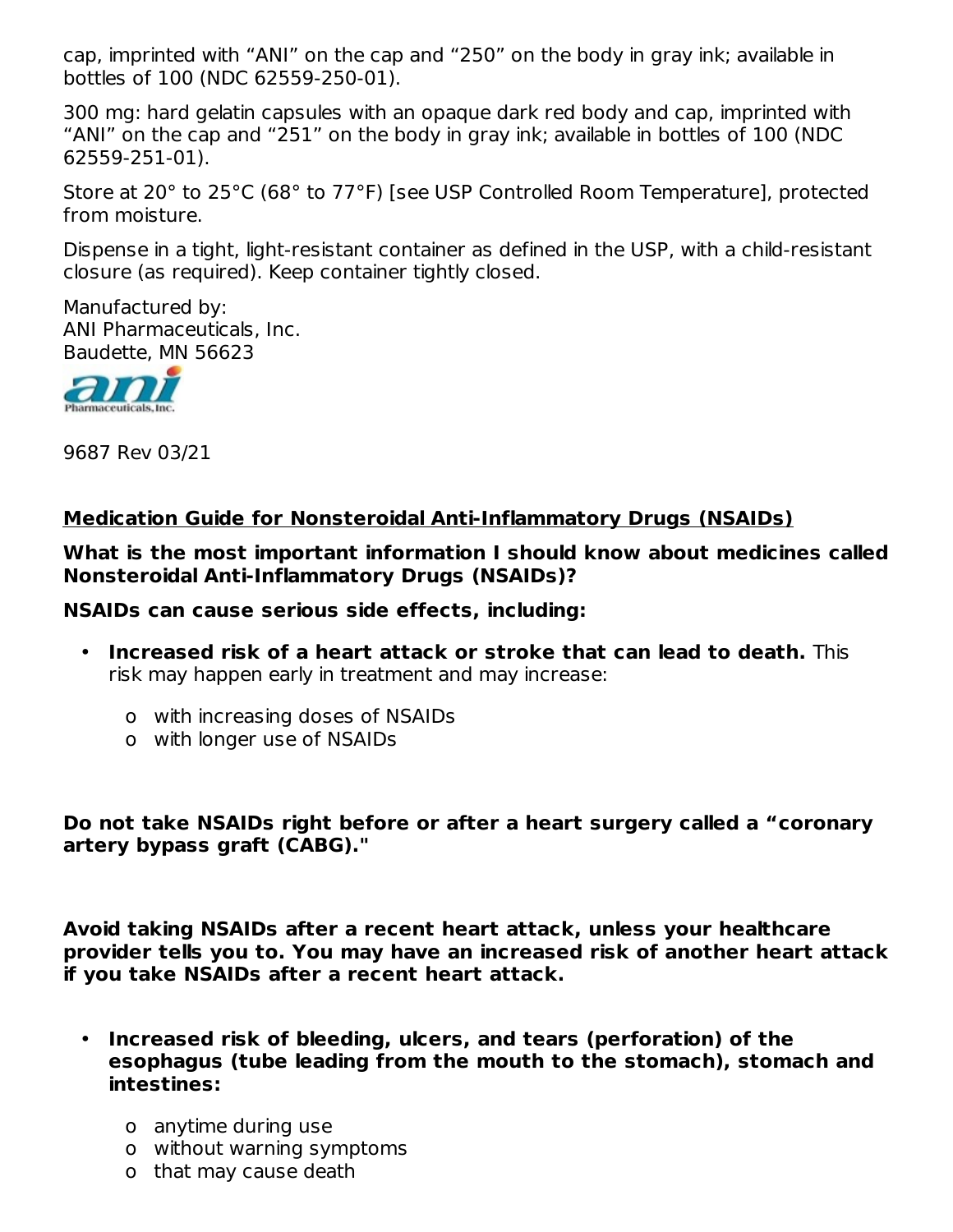cap, imprinted with "ANI" on the cap and "250" on the body in gray ink; available in bottles of 100 (NDC 62559-250-01).

300 mg: hard gelatin capsules with an opaque dark red body and cap, imprinted with "ANI" on the cap and "251" on the body in gray ink; available in bottles of 100 (NDC 62559-251-01).

Store at 20° to 25°C (68° to 77°F) [see USP Controlled Room Temperature], protected from moisture.

Dispense in a tight, light-resistant container as defined in the USP, with a child-resistant closure (as required). Keep container tightly closed.

Manufactured by: ANI Pharmaceuticals, Inc. Baudette, MN 56623



9687 Rev 03/21

#### **Medication Guide for Nonsteroidal Anti-Inflammatory Drugs (NSAIDs)**

**What is the most important information I should know about medicines called Nonsteroidal Anti-Inflammatory Drugs (NSAIDs)?**

**NSAIDs can cause serious side effects, including:**

- **Increased risk of a heart attack or stroke that can lead to death.** This risk may happen early in treatment and may increase:
	- o with increasing doses of NSAIDs
	- o with longer use of NSAIDs

**Do not take NSAIDs right before or after a heart surgery called a "coronary artery bypass graft (CABG)."**

**Avoid taking NSAIDs after a recent heart attack, unless your healthcare provider tells you to. You may have an increased risk of another heart attack if you take NSAIDs after a recent heart attack.**

- **Increased risk of bleeding, ulcers, and tears (perforation) of the esophagus (tube leading from the mouth to the stomach), stomach and intestines:**
	- o anytime during use
	- o without warning symptoms
	- o that may cause death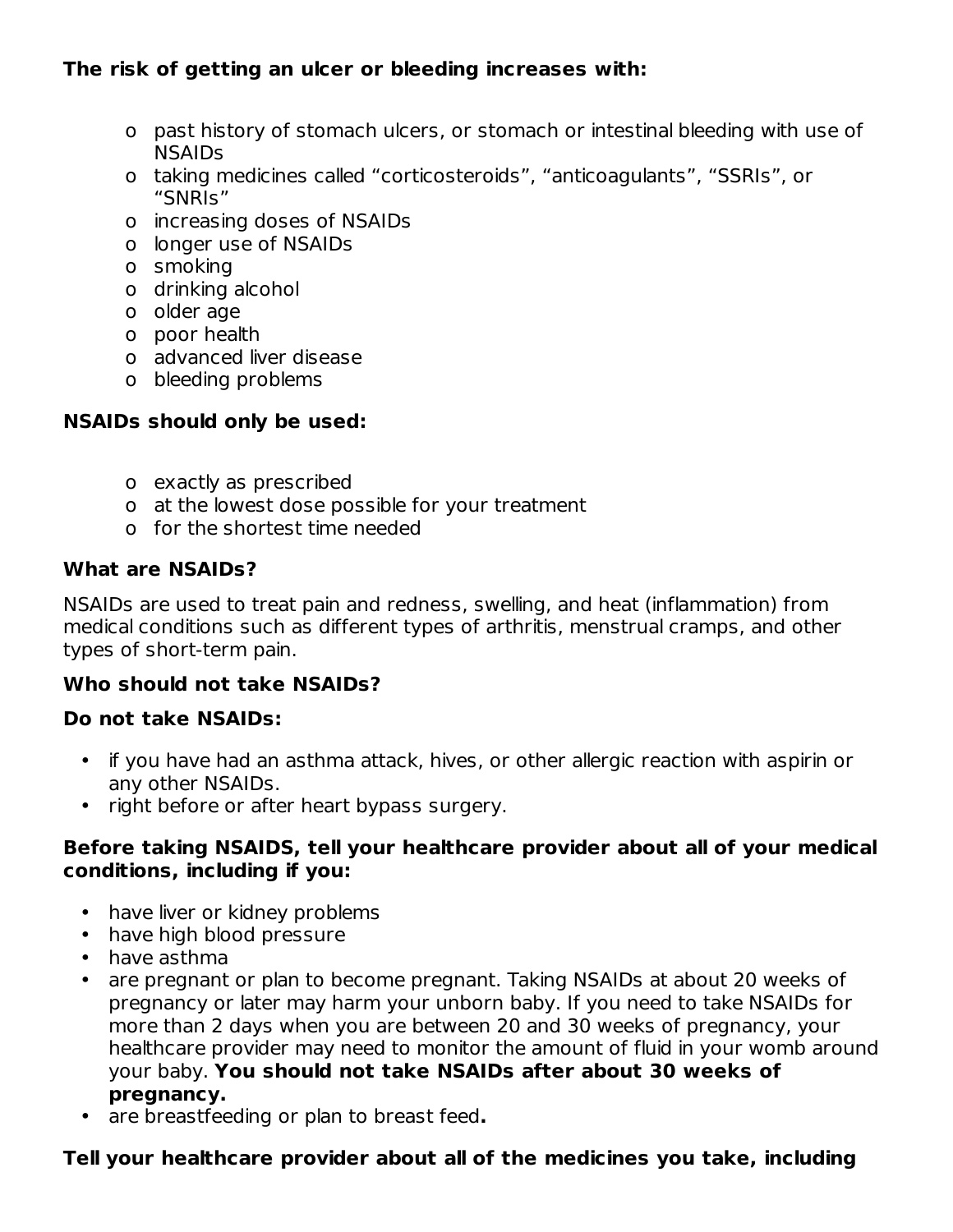## **The risk of getting an ulcer or bleeding increases with:**

- o past history of stomach ulcers, or stomach or intestinal bleeding with use of NSAIDs
- o taking medicines called "corticosteroids", "anticoagulants", "SSRIs", or "SNRIs"
- o increasing doses of NSAIDs
- o longer use of NSAIDs
- o smoking
- o drinking alcohol
- o older age
- o poor health
- o advanced liver disease
- o bleeding problems

### **NSAIDs should only be used:**

- o exactly as prescribed
- o at the lowest dose possible for your treatment
- o for the shortest time needed

#### **What are NSAIDs?**

NSAIDs are used to treat pain and redness, swelling, and heat (inflammation) from medical conditions such as different types of arthritis, menstrual cramps, and other types of short-term pain.

### **Who should not take NSAIDs?**

#### **Do not take NSAIDs:**

- if you have had an asthma attack, hives, or other allergic reaction with aspirin or any other NSAIDs.
- right before or after heart bypass surgery.

#### **Before taking NSAIDS, tell your healthcare provider about all of your medical conditions, including if you:**

- have liver or kidney problems
- have high blood pressure
- have asthma
- are pregnant or plan to become pregnant. Taking NSAIDs at about 20 weeks of pregnancy or later may harm your unborn baby. If you need to take NSAIDs for more than 2 days when you are between 20 and 30 weeks of pregnancy, your healthcare provider may need to monitor the amount of fluid in your womb around your baby. **You should not take NSAIDs after about 30 weeks of pregnancy.**
- are breastfeeding or plan to breast feed**.**

### **Tell your healthcare provider about all of the medicines you take, including**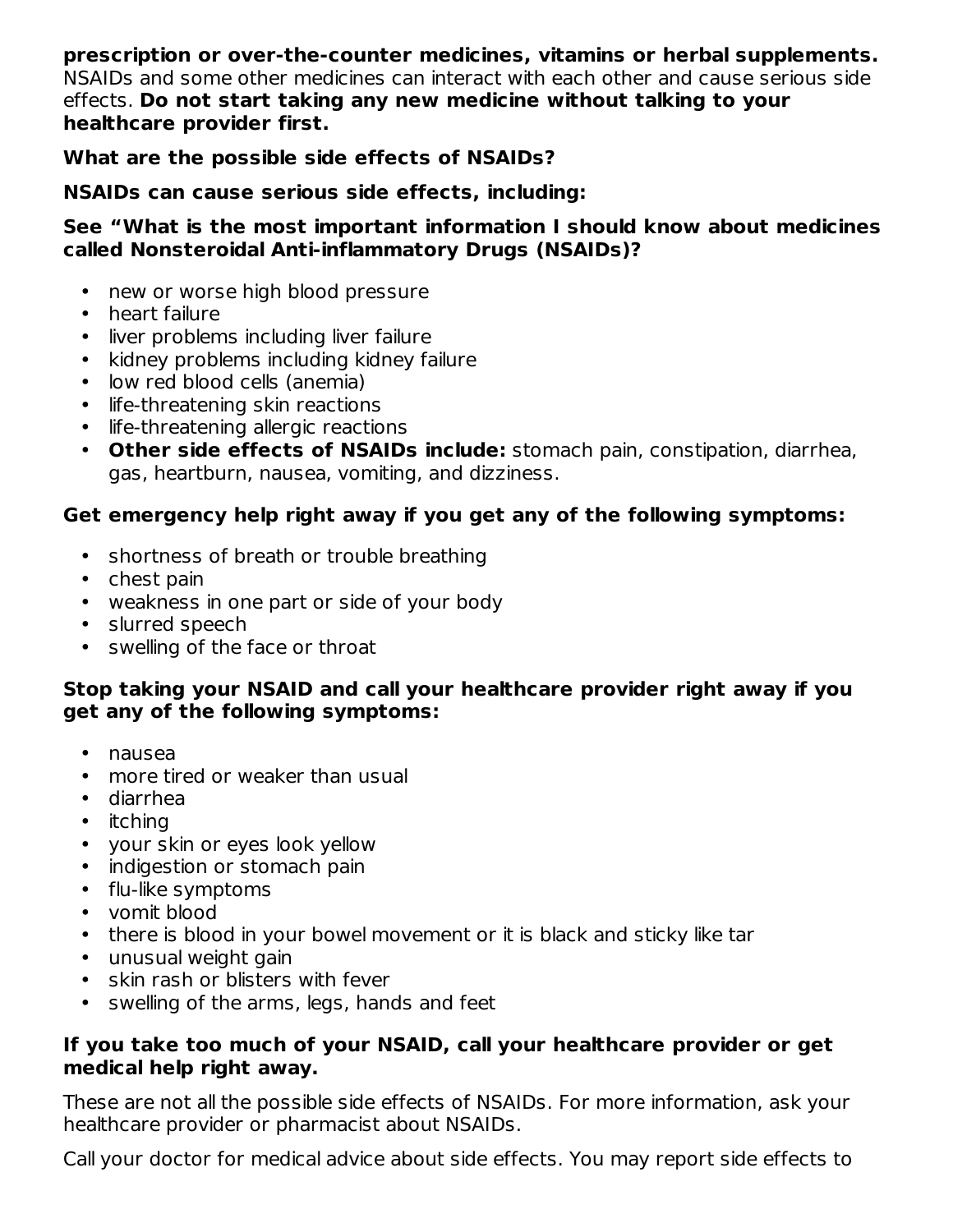**prescription or over-the-counter medicines, vitamins or herbal supplements.** NSAIDs and some other medicines can interact with each other and cause serious side effects. **Do not start taking any new medicine without talking to your healthcare provider first.**

#### **What are the possible side effects of NSAIDs?**

#### **NSAIDs can cause serious side effects, including:**

#### **See "What is the most important information I should know about medicines called Nonsteroidal Anti-inflammatory Drugs (NSAIDs)?**

- new or worse high blood pressure
- heart failure
- liver problems including liver failure
- kidney problems including kidney failure
- low red blood cells (anemia)
- life-threatening skin reactions
- life-threatening allergic reactions
- **Other side effects of NSAIDs include:** stomach pain, constipation, diarrhea, gas, heartburn, nausea, vomiting, and dizziness.

#### **Get emergency help right away if you get any of the following symptoms:**

- shortness of breath or trouble breathing
- chest pain
- weakness in one part or side of your body
- slurred speech
- swelling of the face or throat

#### **Stop taking your NSAID and call your healthcare provider right away if you get any of the following symptoms:**

- nausea
- more tired or weaker than usual
- diarrhea
- itching
- your skin or eyes look yellow
- indigestion or stomach pain
- flu-like symptoms
- vomit blood
- there is blood in your bowel movement or it is black and sticky like tar
- unusual weight gain
- skin rash or blisters with fever
- swelling of the arms, legs, hands and feet

#### **If you take too much of your NSAID, call your healthcare provider or get medical help right away.**

These are not all the possible side effects of NSAIDs. For more information, ask your healthcare provider or pharmacist about NSAIDs.

Call your doctor for medical advice about side effects. You may report side effects to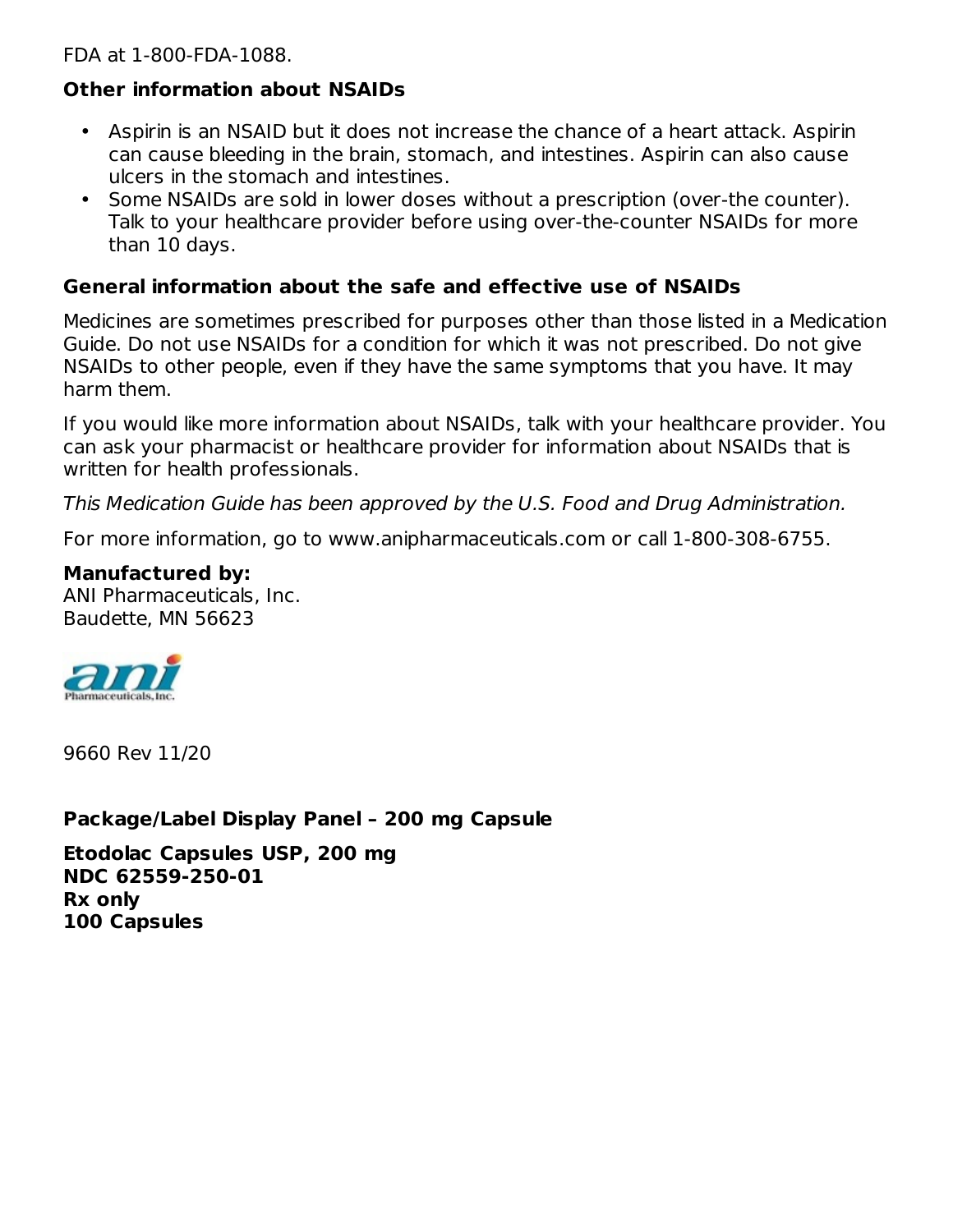FDA at 1-800-FDA-1088.

#### **Other information about NSAIDs**

- Aspirin is an NSAID but it does not increase the chance of a heart attack. Aspirin can cause bleeding in the brain, stomach, and intestines. Aspirin can also cause ulcers in the stomach and intestines.
- Some NSAIDs are sold in lower doses without a prescription (over-the counter). Talk to your healthcare provider before using over-the-counter NSAIDs for more than 10 days.

#### **General information about the safe and effective use of NSAIDs**

Medicines are sometimes prescribed for purposes other than those listed in a Medication Guide. Do not use NSAIDs for a condition for which it was not prescribed. Do not give NSAIDs to other people, even if they have the same symptoms that you have. It may harm them.

If you would like more information about NSAIDs, talk with your healthcare provider. You can ask your pharmacist or healthcare provider for information about NSAIDs that is written for health professionals.

This Medication Guide has been approved by the U.S. Food and Drug Administration.

For more information, go to www.anipharmaceuticals.com or call 1-800-308-6755.

#### **Manufactured by:**

ANI Pharmaceuticals, Inc. Baudette, MN 56623



9660 Rev 11/20

**Package/Label Display Panel – 200 mg Capsule**

**Etodolac Capsules USP, 200 mg NDC 62559-250-01 Rx only 100 Capsules**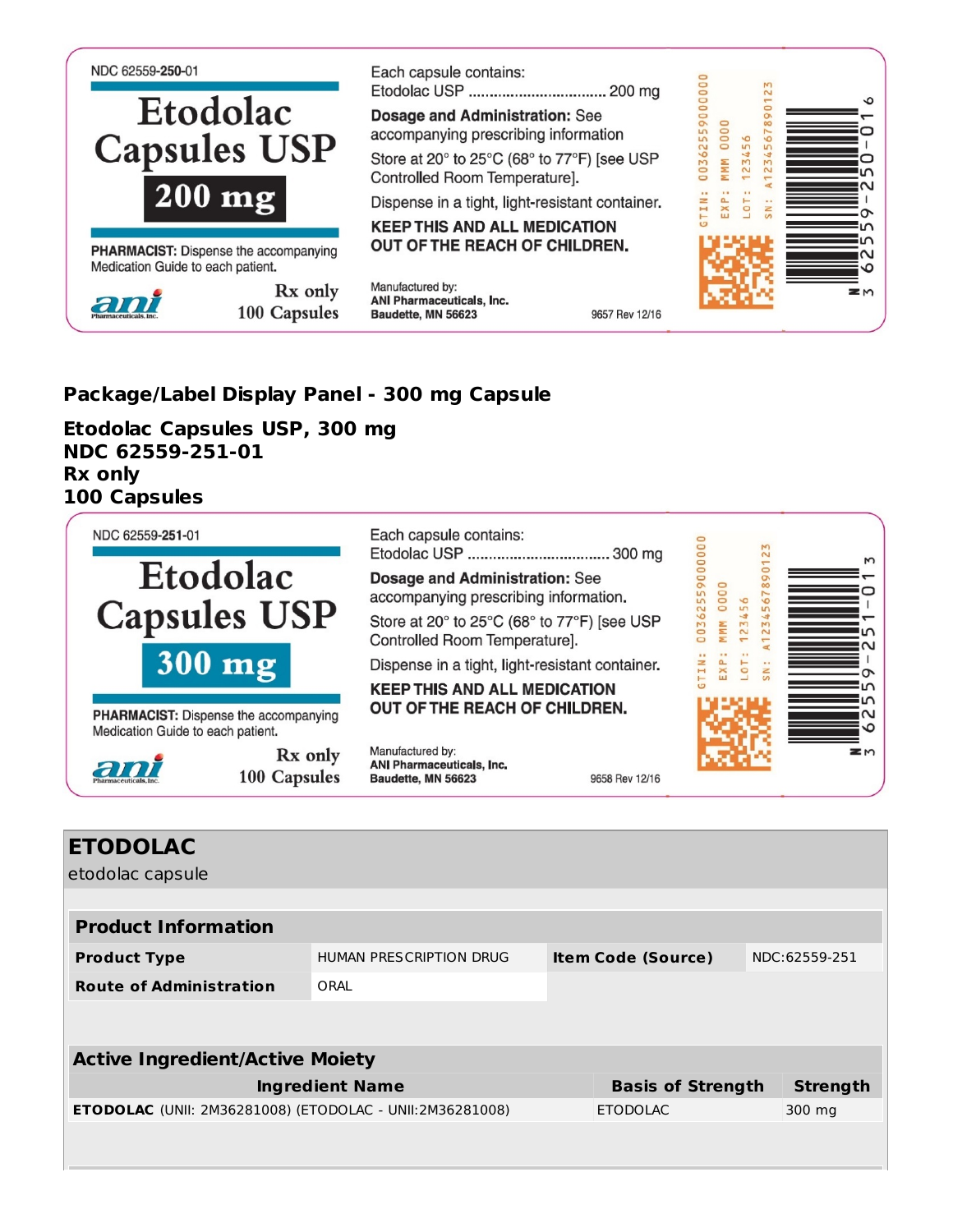

#### **Package/Label Display Panel - 300 mg Capsule**

**Etodolac Capsules USP, 300 mg NDC 62559-251-01 Rx only 100 Capsules**



| <b>ETODOLAC</b>                                                 |                         |  |                           |  |                 |
|-----------------------------------------------------------------|-------------------------|--|---------------------------|--|-----------------|
| etodolac capsule                                                |                         |  |                           |  |                 |
|                                                                 |                         |  |                           |  |                 |
| <b>Product Information</b>                                      |                         |  |                           |  |                 |
| <b>Product Type</b>                                             | HUMAN PRESCRIPTION DRUG |  | <b>Item Code (Source)</b> |  | NDC:62559-251   |
| <b>Route of Administration</b>                                  | ORAL                    |  |                           |  |                 |
|                                                                 |                         |  |                           |  |                 |
|                                                                 |                         |  |                           |  |                 |
| <b>Active Ingredient/Active Moiety</b>                          |                         |  |                           |  |                 |
| <b>Ingredient Name</b>                                          |                         |  | <b>Basis of Strength</b>  |  | <b>Strength</b> |
| <b>ETODOLAC</b> (UNII: 2M36281008) (ETODOLAC - UNII:2M36281008) |                         |  | <b>ETODOLAC</b>           |  | 300 mg          |
|                                                                 |                         |  |                           |  |                 |
|                                                                 |                         |  |                           |  |                 |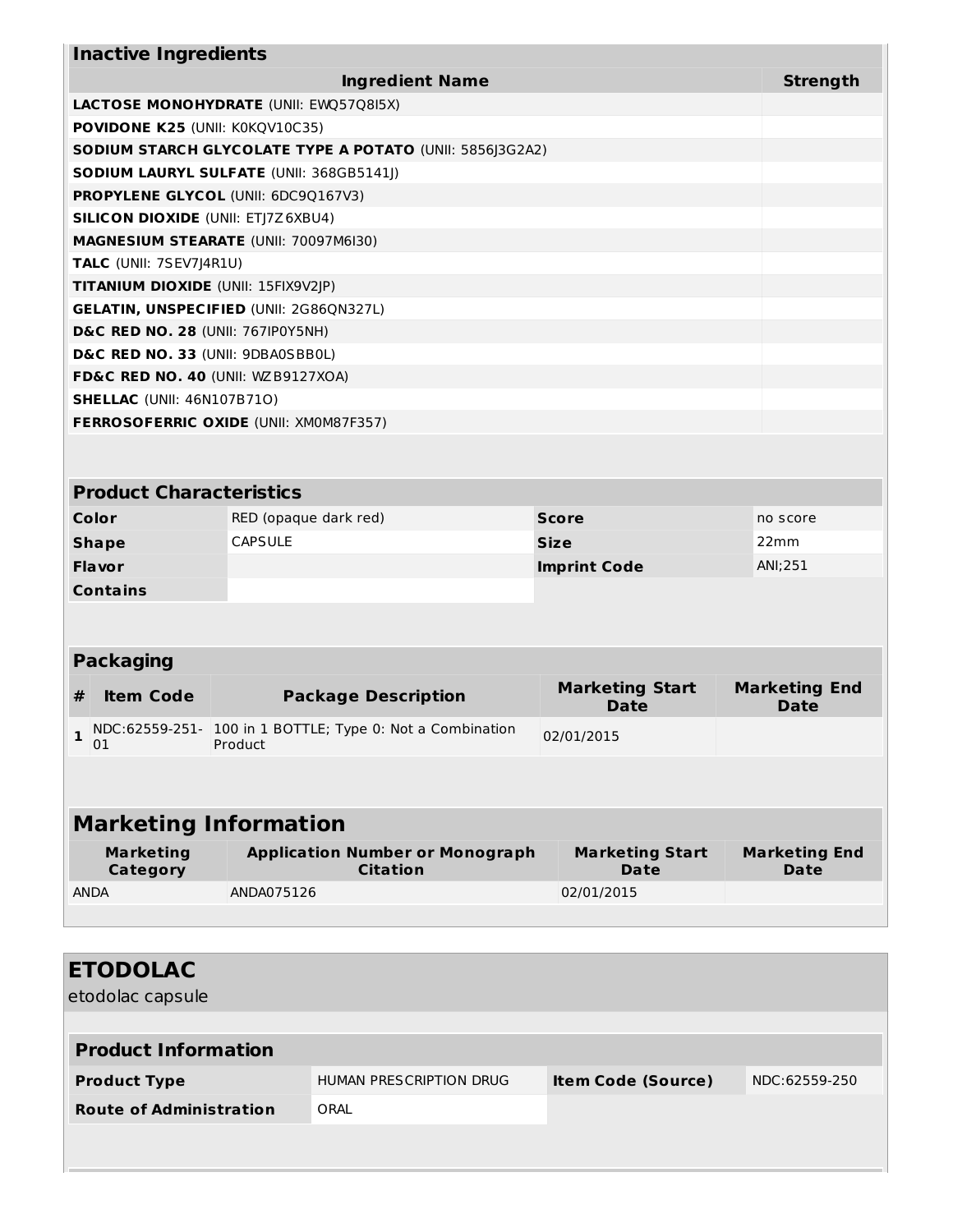| <b>Inactive Ingredients</b>               |                                                                      |                                       |                                     |  |  |
|-------------------------------------------|----------------------------------------------------------------------|---------------------------------------|-------------------------------------|--|--|
|                                           | <b>Strength</b>                                                      |                                       |                                     |  |  |
|                                           | LACTOSE MONOHYDRATE (UNII: EWQ57Q8I5X)                               |                                       |                                     |  |  |
| POVIDONE K25 (UNII: K0KQV10C35)           |                                                                      |                                       |                                     |  |  |
|                                           | SODIUM STARCH GLYCOLATE TYPE A POTATO (UNII: 5856J3G2A2)             |                                       |                                     |  |  |
|                                           | SODIUM LAURYL SULFATE (UNII: 368GB5141J)                             |                                       |                                     |  |  |
| PROPYLENE GLYCOL (UNII: 6DC9Q167V3)       |                                                                      |                                       |                                     |  |  |
| <b>SILICON DIOXIDE (UNII: ETJ7Z6XBU4)</b> |                                                                      |                                       |                                     |  |  |
|                                           | <b>MAGNESIUM STEARATE (UNII: 70097M6I30)</b>                         |                                       |                                     |  |  |
| TALC (UNII: 7SEV7J4R1U)                   |                                                                      |                                       |                                     |  |  |
| TITANIUM DIOXIDE (UNII: 15FIX9V2JP)       |                                                                      |                                       |                                     |  |  |
|                                           | <b>GELATIN, UNSPECIFIED (UNII: 2G86QN327L)</b>                       |                                       |                                     |  |  |
| D&C RED NO. 28 (UNII: 767IP0Y5NH)         |                                                                      |                                       |                                     |  |  |
| D&C RED NO. 33 (UNII: 9DBA0SBB0L)         |                                                                      |                                       |                                     |  |  |
| FD&C RED NO. 40 (UNII: WZB9127XOA)        |                                                                      |                                       |                                     |  |  |
| <b>SHELLAC (UNII: 46N107B71O)</b>         |                                                                      |                                       |                                     |  |  |
|                                           | <b>FERROSOFERRIC OXIDE (UNII: XMOM87F357)</b>                        |                                       |                                     |  |  |
|                                           |                                                                      |                                       |                                     |  |  |
| <b>Product Characteristics</b>            |                                                                      |                                       |                                     |  |  |
| Color                                     | RED (opaque dark red)<br><b>Score</b><br>no score                    |                                       |                                     |  |  |
| <b>Shape</b>                              | <b>CAPSULE</b><br><b>Size</b><br>22mm                                |                                       |                                     |  |  |
| <b>Flavor</b>                             | <b>Imprint Code</b>                                                  |                                       | ANI; 251                            |  |  |
| <b>Contains</b>                           |                                                                      |                                       |                                     |  |  |
|                                           |                                                                      |                                       |                                     |  |  |
| <b>Packaging</b>                          |                                                                      |                                       |                                     |  |  |
| #<br><b>Item Code</b>                     | <b>Package Description</b>                                           | <b>Marketing Start</b><br><b>Date</b> | <b>Marketing End</b><br><b>Date</b> |  |  |
| 1<br>01                                   | NDC:62559-251- 100 in 1 BOTTLE; Type 0: Not a Combination<br>Product | 02/01/2015                            |                                     |  |  |
|                                           |                                                                      |                                       |                                     |  |  |
| <b>Marketing Information</b>              |                                                                      |                                       |                                     |  |  |
| <b>Marketing</b><br>Category              | <b>Application Number or Monograph</b><br><b>Citation</b>            | <b>Marketing Start</b><br><b>Date</b> | <b>Marketing End</b><br><b>Date</b> |  |  |
| <b>ANDA</b>                               | ANDA075126                                                           | 02/01/2015                            |                                     |  |  |
|                                           |                                                                      |                                       |                                     |  |  |

| <b>ETODOLAC</b><br>etodolac capsule |                         |                           |               |
|-------------------------------------|-------------------------|---------------------------|---------------|
| <b>Product Information</b>          |                         |                           |               |
| <b>Product Type</b>                 | HUMAN PRESCRIPTION DRUG | <b>Item Code (Source)</b> | NDC:62559-250 |
| <b>Route of Administration</b>      | ORAL                    |                           |               |
|                                     |                         |                           |               |